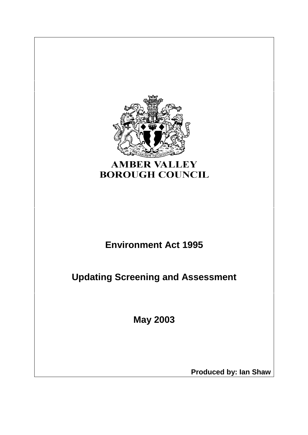

# **AMBER VALLEY BOROUGH COUNCIL**

# **Environment Act 1995**

**Updating Screening and Assessment**

**May 2003**

**Produced by: Ian Shaw**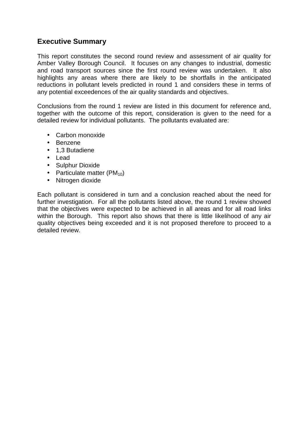# **Executive Summary**

This report constitutes the second round review and assessment of air quality for Amber Valley Borough Council. It focuses on any changes to industrial, domestic and road transport sources since the first round review was undertaken. It also highlights any areas where there are likely to be shortfalls in the anticipated reductions in pollutant levels predicted in round 1 and considers these in terms of any potential exceedences of the air quality standards and objectives.

Conclusions from the round 1 review are listed in this document for reference and, together with the outcome of this report, consideration is given to the need for a detailed review for individual pollutants. The pollutants evaluated are:

- Carbon monoxide
- Benzene
- 1,3 Butadiene
- Lead
- Sulphur Dioxide
- Particulate matter  $(PM_{10})$
- Nitrogen dioxide

Each pollutant is considered in turn and a conclusion reached about the need for further investigation. For all the pollutants listed above, the round 1 review showed that the objectives were expected to be achieved in all areas and for all road links within the Borough. This report also shows that there is little likelihood of any air quality objectives being exceeded and it is not proposed therefore to proceed to a detailed review.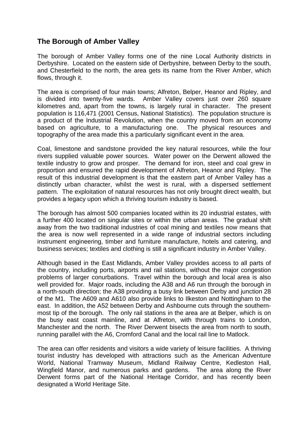## **The Borough of Amber Valley**

The borough of Amber Valley forms one of the nine Local Authority districts in Derbyshire. Located on the eastern side of Derbyshire, between Derby to the south, and Chesterfield to the north, the area gets its name from the River Amber, which flows, through it.

The area is comprised of four main towns; Alfreton, Belper, Heanor and Ripley, and is divided into twenty-five wards. Amber Valley covers just over 260 square kilometres and, apart from the towns, is largely rural in character. The present population is 116,471 (2001 Census, National Statistics). The population structure is a product of the Industrial Revolution, when the country moved from an economy based on agriculture, to a manufacturing one. The physical resources and topography of the area made this a particularly significant event in the area.

Coal, limestone and sandstone provided the key natural resources, while the four rivers supplied valuable power sources. Water power on the Derwent allowed the textile industry to grow and prosper. The demand for iron, steel and coal grew in proportion and ensured the rapid development of Alfreton, Heanor and Ripley. The result of this industrial development is that the eastern part of Amber Valley has a distinctly urban character, whilst the west is rural, with a dispersed settlement pattern. The exploitation of natural resources has not only brought direct wealth, but provides a legacy upon which a thriving tourism industry is based.

The borough has almost 500 companies located within its 20 industrial estates, with a further 400 located on singular sites or within the urban areas. The gradual shift away from the two traditional industries of coal mining and textiles now means that the area is now well represented in a wide range of industrial sectors including instrument engineering, timber and furniture manufacture, hotels and catering, and business services; textiles and clothing is still a significant industry in Amber Valley.

Although based in the East Midlands, Amber Valley provides access to all parts of the country, including ports, airports and rail stations, without the major congestion problems of larger conurbations. Travel within the borough and local area is also well provided for. Major roads, including the A38 and A6 run through the borough in a north-south direction; the A38 providing a busy link between Derby and junction 28 of the M1. The A609 and A610 also provide links to Ilkeston and Nottingham to the east. In addition, the A52 between Derby and Ashbourne cuts through the southernmost tip of the borough. The only rail stations in the area are at Belper, which is on the busy east coast mainline, and at Alfreton, with through trains to London, Manchester and the north. The River Derwent bisects the area from north to south, running parallel with the A6, Cromford Canal and the local rail line to Matlock.

The area can offer residents and visitors a wide variety of leisure facilities. A thriving tourist industry has developed with attractions such as the American Adventure World, National Tramway Museum, Midland Railway Centre, Kedleston Hall, Wingfield Manor, and numerous parks and gardens. The area along the River Derwent forms part of the National Heritage Corridor, and has recently been designated a World Heritage Site.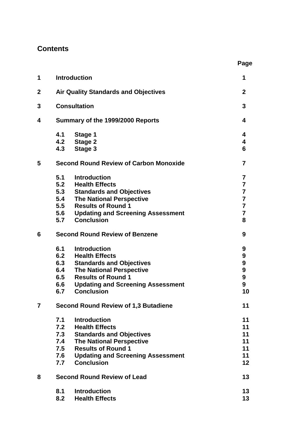# **Contents**

| 1            |     | <b>Introduction</b>                           | 1                       |
|--------------|-----|-----------------------------------------------|-------------------------|
| $\mathbf{2}$ |     | <b>Air Quality Standards and Objectives</b>   | 2                       |
| 3            |     | <b>Consultation</b>                           | 3                       |
| 4            |     | Summary of the 1999/2000 Reports              | 4                       |
|              | 4.1 | Stage 1                                       | 4                       |
|              | 4.3 | 4.2 Stage 2<br>Stage 3                        | 4<br>6                  |
| 5            |     | <b>Second Round Review of Carbon Monoxide</b> | 7                       |
|              | 5.1 | <b>Introduction</b>                           | 7                       |
|              |     | 5.2 Health Effects                            | $\overline{\mathbf{7}}$ |
|              |     | 5.3 Standards and Objectives                  | $\overline{7}$          |
|              | 5.4 | <b>The National Perspective</b>               | $\overline{\mathbf{7}}$ |
|              |     | 5.5 Results of Round 1                        | $\overline{7}$          |
|              |     | 5.6 Updating and Screening Assessment         | $\overline{7}$          |
|              | 5.7 | <b>Conclusion</b>                             | 8                       |
| 6            |     | <b>Second Round Review of Benzene</b>         | 9                       |
|              | 6.1 | <b>Introduction</b>                           | 9                       |
|              | 6.2 | <b>Health Effects</b>                         | 9                       |
|              | 6.3 | <b>Standards and Objectives</b>               | 9                       |
|              | 6.4 | <b>The National Perspective</b>               | $\boldsymbol{9}$        |
|              |     | 6.5 Results of Round 1                        | $\boldsymbol{9}$        |
|              |     | 6.6 Updating and Screening Assessment         | $\boldsymbol{9}$        |
|              | 6.7 | <b>Conclusion</b>                             | 10                      |
| 7            |     | <b>Second Round Review of 1,3 Butadiene</b>   | 11                      |
|              | 7.1 | <b>Introduction</b>                           | 11                      |
|              | 7.2 | <b>Health Effects</b>                         | 11                      |
|              | 7.3 | <b>Standards and Objectives</b>               | 11                      |
|              | 7.4 | <b>The National Perspective</b>               | 11                      |
|              | 7.5 | <b>Results of Round 1</b>                     | 11                      |
|              | 7.6 | <b>Updating and Screening Assessment</b>      | 11                      |
|              | 7.7 | <b>Conclusion</b>                             | $12 \overline{ }$       |
| 8            |     | <b>Second Round Review of Lead</b>            | 13                      |
|              | 8.1 | <b>Introduction</b>                           | 13                      |
|              | 8.2 | <b>Health Effects</b>                         | 13                      |

**Page**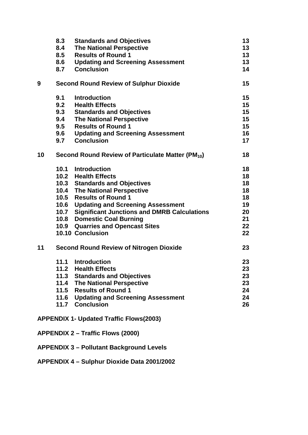|    | 8.3  | <b>Standards and Objectives</b>                               | 13      |
|----|------|---------------------------------------------------------------|---------|
|    | 8.4  | <b>The National Perspective</b>                               | 13      |
|    | 8.5  | <b>Results of Round 1</b>                                     | 13      |
|    |      | 8.6 Updating and Screening Assessment                         | 13      |
|    |      | 8.7 Conclusion                                                | 14      |
| 9  |      | <b>Second Round Review of Sulphur Dioxide</b>                 | $15\,$  |
|    | 9.1  | <b>Introduction</b>                                           | 15      |
|    | 9.2  | <b>Health Effects</b>                                         | $15\,$  |
|    | 9.3  | <b>Standards and Objectives</b>                               | $15\,$  |
|    | 9.4  | <b>The National Perspective</b>                               | $15\,$  |
|    | 9.5  | <b>Results of Round 1</b>                                     | $15\,$  |
|    | 9.6  | <b>Updating and Screening Assessment</b>                      | 16      |
|    | 9.7  | <b>Conclusion</b>                                             | 17      |
| 10 |      | Second Round Review of Particulate Matter (PM <sub>10</sub> ) | 18      |
|    |      | 10.1 Introduction                                             | 18      |
|    |      | 10.2 Health Effects                                           | 18      |
|    |      | 10.3 Standards and Objectives                                 | 18      |
|    |      | 10.4 The National Perspective                                 | 18      |
|    |      | 10.5 Results of Round 1                                       | 18      |
|    |      | 10.6 Updating and Screening Assessment                        | 19      |
|    |      | 10.7 Significant Junctions and DMRB Calculations              | 20      |
|    |      | 10.8 Domestic Coal Burning                                    | 21      |
|    |      | 10.9 Quarries and Opencast Sites                              | $22 \,$ |
|    |      | 10.10 Conclusion                                              | 22      |
| 11 |      | <b>Second Round Review of Nitrogen Dioxide</b>                | 23      |
|    | 11.1 | <b>Introduction</b>                                           | 23      |
|    |      | 11.2 Health Effects                                           | 23      |
|    | 11.3 | <b>Standards and Objectives</b>                               | 23      |
|    | 11.4 | <b>The National Perspective</b>                               | 23      |
|    |      | 11.5 Results of Round 1                                       | 24      |
|    |      | 11.6 Updating and Screening Assessment                        | 24      |
|    |      | 11.7 Conclusion                                               | 26      |
|    |      | <b>APPENDIX 1- Updated Traffic Flows(2003)</b>                |         |

- **APPENDIX 2 – Traffic Flows (2000)**
- **APPENDIX 3 – Pollutant Background Levels**
- **APPENDIX 4 – Sulphur Dioxide Data 2001/2002**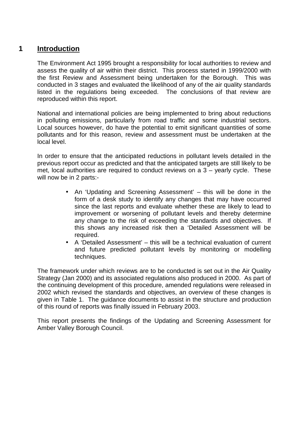## **1 Introduction**

The Environment Act 1995 brought a responsibility for local authorities to review and assess the quality of air within their district. This process started in 1999/2000 with the first Review and Assessment being undertaken for the Borough. This was conducted in 3 stages and evaluated the likelihood of any of the air quality standards listed in the regulations being exceeded. The conclusions of that review are reproduced within this report.

National and international policies are being implemented to bring about reductions in polluting emissions, particularly from road traffic and some industrial sectors. Local sources however, do have the potential to emit significant quantities of some pollutants and for this reason, review and assessment must be undertaken at the local level.

In order to ensure that the anticipated reductions in pollutant levels detailed in the previous report occur as predicted and that the anticipated targets are still likely to be met, local authorities are required to conduct reviews on a 3 – yearly cycle. These will now be in 2 parts:-

- An 'Updating and Screening Assessment' this will be done in the form of a desk study to identify any changes that may have occurred since the last reports and evaluate whether these are likely to lead to improvement or worsening of pollutant levels and thereby determine any change to the risk of exceeding the standards and objectives. If this shows any increased risk then a 'Detailed Assessment will be required.
- A 'Detailed Assessment' this will be a technical evaluation of current and future predicted pollutant levels by monitoring or modelling techniques.

The framework under which reviews are to be conducted is set out in the Air Quality Strategy (Jan 2000) and its associated regulations also produced in 2000. As part of the continuing development of this procedure, amended regulations were released in 2002 which revised the standards and objectives, an overview of these changes is given in Table 1. The guidance documents to assist in the structure and production of this round of reports was finally issued in February 2003.

This report presents the findings of the Updating and Screening Assessment for Amber Valley Borough Council.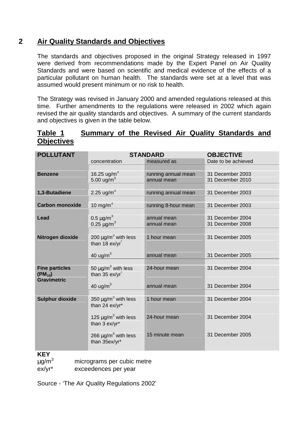# **2 Air Quality Standards and Objectives**

The standards and objectives proposed in the original Strategy released in 1997 were derived from recommendations made by the Expert Panel on Air Quality Standards and were based on scientific and medical evidence of the effects of a particular pollutant on human health. The standards were set at a level that was assumed would present minimum or no risk to health.

The Strategy was revised in January 2000 and amended regulations released at this time. Further amendments to the regulations were released in 2002 which again revised the air quality standards and objectives. A summary of the current standards and objectives is given in the table below.

## **Table 1 Summary of the Revised Air Quality Standards and Objectives**

| <b>POLLUTANT</b>       |                                                        | <b>STANDARD</b>     | <b>OBJECTIVE</b>    |
|------------------------|--------------------------------------------------------|---------------------|---------------------|
|                        | concentration                                          | measured as         | Date to be achieved |
|                        |                                                        |                     |                     |
| <b>Benzene</b>         | 16.25 ug/m <sup>3</sup>                                | running annual mean | 31 December 2003    |
|                        | 5.00 $\mu$ g/m <sup>3</sup>                            | annual mean         | 31 December 2010    |
|                        |                                                        |                     |                     |
| 1,3-Butadiene          | 2.25 ug/m <sup>3</sup>                                 | running annual mean | 31 December 2003    |
| <b>Carbon monoxide</b> | 10 mg/m $3$                                            | running 8-hour mean | 31 December 2003    |
|                        |                                                        |                     |                     |
| Lead                   | 0.5 $\mu$ g/m <sup>3</sup>                             | annual mean         | 31 December 2004    |
|                        | 0.25 $\mu$ g/m <sup>3</sup>                            | annual mean         | 31 December 2008    |
|                        |                                                        |                     |                     |
| Nitrogen dioxide       | 200 $\mu$ g/m <sup>3</sup> with less                   | 1 hour mean         | 31 December 2005    |
|                        | than 18 ex/yr                                          |                     |                     |
|                        |                                                        |                     |                     |
|                        | 40 ug/m $3$                                            | annual mean         | 31 December 2005    |
|                        |                                                        |                     |                     |
| <b>Fine particles</b>  | 50 $\mu$ g/m <sup>3</sup> with less                    | 24-hour mean        | 31 December 2004    |
| $(PM_{10})$            | than 35 ex/yr                                          |                     |                     |
| <b>Gravimetric</b>     |                                                        |                     |                     |
|                        | 40 ug/ $m3$                                            | annual mean         | 31 December 2004    |
|                        |                                                        |                     |                     |
| <b>Sulphur dioxide</b> | 350 $\mu$ g/m <sup>3</sup> with less<br>than 24 ex/yr* | 1 hour mean         | 31 December 2004    |
|                        |                                                        |                     |                     |
|                        | 125 $\mu$ g/m <sup>3</sup> with less                   | 24-hour mean        | 31 December 2004    |
|                        | than 3 ex/yr*                                          |                     |                     |
|                        |                                                        |                     |                     |
|                        | 266 $\mu$ g/m <sup>3</sup> with less                   | 15 minute mean      | 31 December 2005    |
|                        | than 35ex/yr*                                          |                     |                     |
|                        |                                                        |                     |                     |

## **KEY**

 $\mu$ g/m<sup>3</sup> micrograms per cubic metre

ex/yr\* exceedences per year

Source - 'The Air Quality Regulations 2002'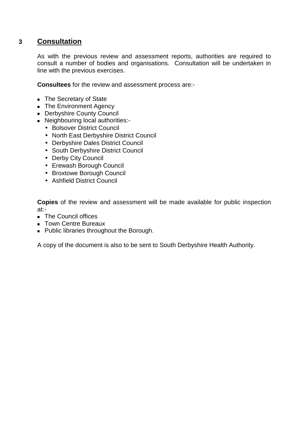## **3 Consultation**

As with the previous review and assessment reports, authorities are required to consult a number of bodies and organisations. Consultation will be undertaken in line with the previous exercises.

**Consultees** for the review and assessment process are:-

- **The Secretary of State**
- **The Environment Agency**
- **Derbyshire County Council**
- Neighbouring local authorities:-
	- Bolsover District Council
	- North East Derbyshire District Council
	- Derbyshire Dales District Council
	- South Derbyshire District Council
	- Derby City Council
	- Erewash Borough Council
	- Broxtowe Borough Council
	- Ashfield District Council

**Copies** of the review and assessment will be made available for public inspection at:-

- **The Council offices**
- **Town Centre Bureaux**
- **Public libraries throughout the Borough.**

A copy of the document is also to be sent to South Derbyshire Health Authority.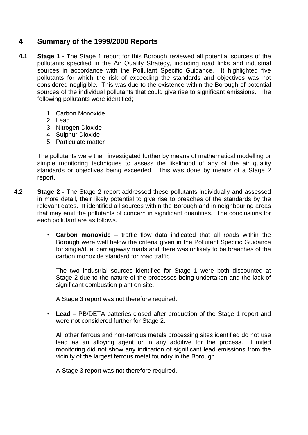# **4 Summary of the 1999/2000 Reports**

- **4.1 Stage 1 -** The Stage 1 report for this Borough reviewed all potential sources of the pollutants specified in the Air Quality Strategy, including road links and industrial sources in accordance with the Pollutant Specific Guidance. It highlighted five pollutants for which the risk of exceeding the standards and objectives was not considered negligible. This was due to the existence within the Borough of potential sources of the individual pollutants that could give rise to significant emissions. The following pollutants were identified;
	- 1. Carbon Monoxide
	- 2. Lead
	- 3. Nitrogen Dioxide
	- 4. Sulphur Dioxide
	- 5. Particulate matter

The pollutants were then investigated further by means of mathematical modelling or simple monitoring techniques to assess the likelihood of any of the air quality standards or objectives being exceeded. This was done by means of a Stage 2 report.

- **4.2 Stage 2 -** The Stage 2 report addressed these pollutants individually and assessed in more detail, their likely potential to give rise to breaches of the standards by the relevant dates. It identified all sources within the Borough and in neighbouring areas that may emit the pollutants of concern in significant quantities. The conclusions for each pollutant are as follows.
	- **Carbon monoxide** traffic flow data indicated that all roads within the Borough were well below the criteria given in the Pollutant Specific Guidance for single/dual carriageway roads and there was unlikely to be breaches of the carbon monoxide standard for road traffic.

The two industrial sources identified for Stage 1 were both discounted at Stage 2 due to the nature of the processes being undertaken and the lack of significant combustion plant on site.

A Stage 3 report was not therefore required.

• **Lead** – PB/DETA batteries closed after production of the Stage 1 report and were not considered further for Stage 2.

All other ferrous and non-ferrous metals processing sites identified do not use lead as an alloying agent or in any additive for the process. Limited monitoring did not show any indication of significant lead emissions from the vicinity of the largest ferrous metal foundry in the Borough.

A Stage 3 report was not therefore required.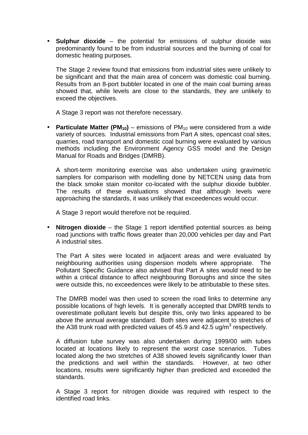• **Sulphur dioxide** – the potential for emissions of sulphur dioxide was predominantly found to be from industrial sources and the burning of coal for domestic heating purposes.

The Stage 2 review found that emissions from industrial sites were unlikely to be significant and that the main area of concern was domestic coal burning. Results from an 8-port bubbler located in one of the main coal burning areas showed that, while levels are close to the standards, they are unlikely to exceed the objectives.

A Stage 3 report was not therefore necessary.

• **Particulate Matter (PM<sub>10</sub>)** – emissions of PM<sub>10</sub> were considered from a wide variety of sources. Industrial emissions from Part A sites, opencast coal sites, quarries, road transport and domestic coal burning were evaluated by various methods including the Environment Agency GSS model and the Design Manual for Roads and Bridges (DMRB).

A short-term monitoring exercise was also undertaken using gravimetric samplers for comparison with modelling done by NETCEN using data from the black smoke stain monitor co-located with the sulphur dioxide bubbler. The results of these evaluations showed that although levels were approaching the standards, it was unlikely that exceedences would occur.

A Stage 3 report would therefore not be required.

• **Nitrogen dioxide** – the Stage 1 report identified potential sources as being road junctions with traffic flows greater than 20,000 vehicles per day and Part A industrial sites.

The Part A sites were located in adjacent areas and were evaluated by neighbouring authorities using dispersion models where appropriate. The Pollutant Specific Guidance also advised that Part A sites would need to be within a critical distance to affect neighbouring Boroughs and since the sites were outside this, no exceedences were likely to be attributable to these sites.

The DMRB model was then used to screen the road links to determine any possible locations of high levels. It is generally accepted that DMRB tends to overestimate pollutant levels but despite this, only two links appeared to be above the annual average standard. Both sites were adjacent to stretches of the A38 trunk road with predicted values of 45.9 and 42.5  $\mu$ g/m<sup>3</sup> respectively.

A diffusion tube survey was also undertaken during 1999/00 with tubes located at locations likely to represent the worst case scenarios. Tubes located along the two stretches of A38 showed levels significantly lower than the predictions and well within the standards. However, at two other locations, results were significantly higher than predicted and exceeded the standards.

A Stage 3 report for nitrogen dioxide was required with respect to the identified road links.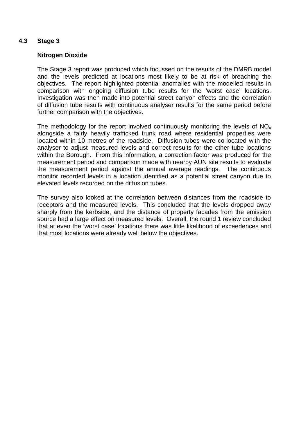## **4.3 Stage 3**

#### **Nitrogen Dioxide**

The Stage 3 report was produced which focussed on the results of the DMRB model and the levels predicted at locations most likely to be at risk of breaching the objectives. The report highlighted potential anomalies with the modelled results in comparison with ongoing diffusion tube results for the 'worst case' locations. Investigation was then made into potential street canyon effects and the correlation of diffusion tube results with continuous analyser results for the same period before further comparison with the objectives.

The methodology for the report involved continuously monitoring the levels of  $NO<sub>x</sub>$ alongside a fairly heavily trafficked trunk road where residential properties were located within 10 metres of the roadside. Diffusion tubes were co-located with the analyser to adjust measured levels and correct results for the other tube locations within the Borough. From this information, a correction factor was produced for the measurement period and comparison made with nearby AUN site results to evaluate the measurement period against the annual average readings. The continuous monitor recorded levels in a location identified as a potential street canyon due to elevated levels recorded on the diffusion tubes.

The survey also looked at the correlation between distances from the roadside to receptors and the measured levels. This concluded that the levels dropped away sharply from the kerbside, and the distance of property facades from the emission source had a large effect on measured levels. Overall, the round 1 review concluded that at even the 'worst case' locations there was little likelihood of exceedences and that most locations were already well below the objectives.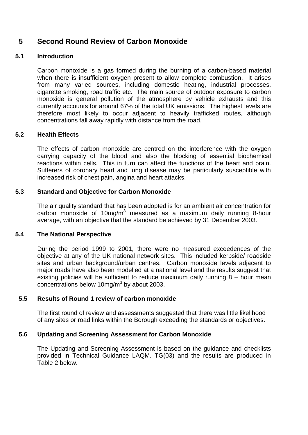# **5 Second Round Review of Carbon Monoxide**

#### **5.1 Introduction**

Carbon monoxide is a gas formed during the burning of a carbon-based material when there is insufficient oxygen present to allow complete combustion. It arises from many varied sources, including domestic heating, industrial processes, cigarette smoking, road traffic etc. The main source of outdoor exposure to carbon monoxide is general pollution of the atmosphere by vehicle exhausts and this currently accounts for around 67% of the total UK emissions. The highest levels are therefore most likely to occur adjacent to heavily trafficked routes, although concentrations fall away rapidly with distance from the road.

#### **5.2 Health Effects**

The effects of carbon monoxide are centred on the interference with the oxygen carrying capacity of the blood and also the blocking of essential biochemical reactions within cells. This in turn can affect the functions of the heart and brain. Sufferers of coronary heart and lung disease may be particularly susceptible with increased risk of chest pain, angina and heart attacks.

#### **5.3 Standard and Objective for Carbon Monoxide**

The air quality standard that has been adopted is for an ambient air concentration for carbon monoxide of 10mg/m<sup>3</sup> measured as a maximum daily running 8-hour average, with an objective that the standard be achieved by 31 December 2003.

#### **5.4 The National Perspective**

During the period 1999 to 2001, there were no measured exceedences of the objective at any of the UK national network sites. This included kerbside/ roadside sites and urban background/urban centres. Carbon monoxide levels adjacent to major roads have also been modelled at a national level and the results suggest that existing policies will be sufficient to reduce maximum daily running 8 – hour mean concentrations below 10mg/m<sup>3</sup> by about 2003.

## **5.5 Results of Round 1 review of carbon monoxide**

The first round of review and assessments suggested that there was little likelihood of any sites or road links within the Borough exceeding the standards or objectives.

## **5.6 Updating and Screening Assessment for Carbon Monoxide**

The Updating and Screening Assessment is based on the guidance and checklists provided in Technical Guidance LAQM. TG(03) and the results are produced in Table 2 below.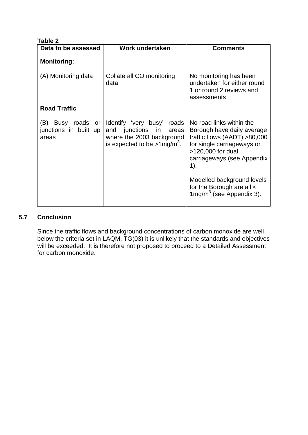| Table 2                                                   |                                                                                                                                          |                                                                                                                                                                                                                                                                                     |  |  |  |
|-----------------------------------------------------------|------------------------------------------------------------------------------------------------------------------------------------------|-------------------------------------------------------------------------------------------------------------------------------------------------------------------------------------------------------------------------------------------------------------------------------------|--|--|--|
| Data to be assessed                                       | Work undertaken                                                                                                                          | <b>Comments</b>                                                                                                                                                                                                                                                                     |  |  |  |
| <b>Monitoring:</b>                                        |                                                                                                                                          |                                                                                                                                                                                                                                                                                     |  |  |  |
| (A) Monitoring data                                       | Collate all CO monitoring<br>data                                                                                                        | No monitoring has been<br>undertaken for either round<br>1 or round 2 reviews and<br>assessments                                                                                                                                                                                    |  |  |  |
| <b>Road Traffic</b>                                       |                                                                                                                                          |                                                                                                                                                                                                                                                                                     |  |  |  |
| (B)<br>Busy<br>roads or<br>junctions in built up<br>areas | Identify 'very busy'<br>roads<br>and junctions<br>in<br>areas<br>where the 2003 background<br>is expected to be $>1$ mg/m <sup>3</sup> . | No road links within the<br>Borough have daily average<br>traffic flows $(AADT) > 80,000$<br>for single carriageways or<br>>120,000 for dual<br>carriageways (see Appendix<br>1).<br>Modelled background levels<br>for the Borough are all <<br>$1 \text{mg/m}^3$ (see Appendix 3). |  |  |  |

## **5.7 Conclusion**

Since the traffic flows and background concentrations of carbon monoxide are well below the criteria set in LAQM. TG(03) it is unlikely that the standards and objectives will be exceeded. It is therefore not proposed to proceed to a Detailed Assessment for carbon monoxide.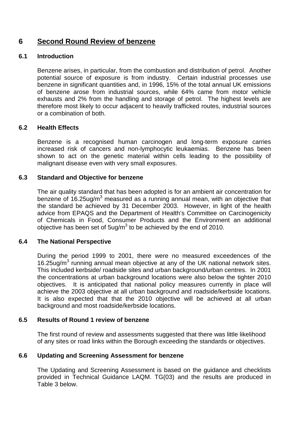## **6 Second Round Review of benzene**

## **6.1 Introduction**

Benzene arises, in particular, from the combustion and distribution of petrol. Another potential source of exposure is from industry. Certain industrial processes use benzene in significant quantities and, in 1996, 15% of the total annual UK emissions of benzene arose from industrial sources, while 64% came from motor vehicle exhausts and 2% from the handling and storage of petrol. The highest levels are therefore most likely to occur adjacent to heavily trafficked routes, industrial sources or a combination of both.

## **6.2 Health Effects**

Benzene is a recognised human carcinogen and long-term exposure carries increased risk of cancers and non-lymphocytic leukaemias. Benzene has been shown to act on the genetic material within cells leading to the possibility of malignant disease even with very small exposures.

## **6.3 Standard and Objective for benzene**

The air quality standard that has been adopted is for an ambient air concentration for benzene of 16.25ug/m<sup>3</sup> measured as a running annual mean, with an objective that the standard be achieved by 31 December 2003. However, in light of the health advice from EPAQS and the Department of Health's Committee on Carcinogenicity of Chemicals in Food, Consumer Products and the Environment an additional objective has been set of 5ug/m $^3$  to be achieved by the end of 2010.

## **6.4 The National Perspective**

During the period 1999 to 2001, there were no measured exceedences of the 16.25ug/m<sup>3</sup> running annual mean objective at any of the UK national network sites. This included kerbside/ roadside sites and urban background/urban centres. In 2001 the concentrations at urban background locations were also below the tighter 2010 objectives. It is anticipated that national policy measures currently in place will achieve the 2003 objective at all urban background and roadside/kerbside locations. It is also expected that that the 2010 objective will be achieved at all urban background and most roadside/kerbside locations.

## **6.5 Results of Round 1 review of benzene**

The first round of review and assessments suggested that there was little likelihood of any sites or road links within the Borough exceeding the standards or objectives.

## **6.6 Updating and Screening Assessment for benzene**

The Updating and Screening Assessment is based on the guidance and checklists provided in Technical Guidance LAQM. TG(03) and the results are produced in Table 3 below.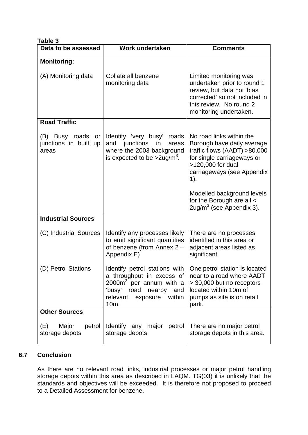| Table 3                                             |                                                                                                                                                                                                             |                                                                                                                                                                                   |  |  |
|-----------------------------------------------------|-------------------------------------------------------------------------------------------------------------------------------------------------------------------------------------------------------------|-----------------------------------------------------------------------------------------------------------------------------------------------------------------------------------|--|--|
| Data to be assessed                                 | Work undertaken                                                                                                                                                                                             | <b>Comments</b>                                                                                                                                                                   |  |  |
| <b>Monitoring:</b>                                  |                                                                                                                                                                                                             |                                                                                                                                                                                   |  |  |
| (A) Monitoring data                                 | Collate all benzene<br>monitoring data                                                                                                                                                                      | Limited monitoring was<br>undertaken prior to round 1<br>review, but data not 'bias<br>corrected' so not included in<br>this review. No round 2<br>monitoring undertaken.         |  |  |
| <b>Road Traffic</b>                                 |                                                                                                                                                                                                             |                                                                                                                                                                                   |  |  |
| (B) Busy roads or<br>junctions in built up<br>areas | Identify 'very busy' roads<br>junctions<br>and<br>in<br>areas<br>where the 2003 background<br>is expected to be $>2$ ug/m <sup>3</sup> .                                                                    | No road links within the<br>Borough have daily average<br>traffic flows (AADT) >80,000<br>for single carriageways or<br>>120,000 for dual<br>carriageways (see Appendix<br>$1$ ). |  |  |
|                                                     |                                                                                                                                                                                                             | Modelled background levels<br>for the Borough are all <<br>$2$ ug/m $3$ (see Appendix 3).                                                                                         |  |  |
| <b>Industrial Sources</b>                           |                                                                                                                                                                                                             |                                                                                                                                                                                   |  |  |
| (C) Industrial Sources                              | Identify any processes likely<br>to emit significant quantities<br>of benzene (from Annex 2 -<br>Appendix E)                                                                                                | There are no processes<br>identified in this area or<br>adjacent areas listed as<br>significant.                                                                                  |  |  |
| (D) Petrol Stations                                 | Identify petrol stations with $\vert$ One petrol station is located<br>a throughput in excess of<br>2000m <sup>3</sup> per annum with a<br>'busy' road nearby and<br>relevant<br>within<br>exposure<br>10m. | near to a road where AADT<br>> 30,000 but no receptors<br>located within 10m of<br>pumps as site is on retail<br>park.                                                            |  |  |
| <b>Other Sources</b>                                |                                                                                                                                                                                                             |                                                                                                                                                                                   |  |  |
| Major<br>(E)<br>petrol<br>storage depots            | Identify any major petrol<br>storage depots                                                                                                                                                                 | There are no major petrol<br>storage depots in this area.                                                                                                                         |  |  |

## **6.7 Conclusion**

As there are no relevant road links, industrial processes or major petrol handling storage depots within this area as described in LAQM. TG(03) it is unlikely that the standards and objectives will be exceeded. It is therefore not proposed to proceed to a Detailed Assessment for benzene.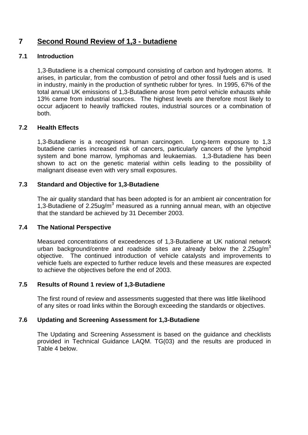# **7 Second Round Review of 1,3 - butadiene**

## **7.1 Introduction**

1,3-Butadiene is a chemical compound consisting of carbon and hydrogen atoms. It arises, in particular, from the combustion of petrol and other fossil fuels and is used in industry, mainly in the production of synthetic rubber for tyres. In 1995, 67% of the total annual UK emissions of 1,3-Butadiene arose from petrol vehicle exhausts while 13% came from industrial sources. The highest levels are therefore most likely to occur adjacent to heavily trafficked routes, industrial sources or a combination of both.

## **7.2 Health Effects**

1,3-Butadiene is a recognised human carcinogen. Long-term exposure to 1,3 butadiene carries increased risk of cancers, particularly cancers of the lymphoid system and bone marrow, lymphomas and leukaemias. 1,3-Butadiene has been shown to act on the genetic material within cells leading to the possibility of malignant disease even with very small exposures.

## **7.3 Standard and Objective for 1,3-Butadiene**

The air quality standard that has been adopted is for an ambient air concentration for 1,3-Butadiene of 2.25ug/ $m^3$  measured as a running annual mean, with an objective that the standard be achieved by 31 December 2003.

## **7.4 The National Perspective**

Measured concentrations of exceedences of 1,3-Butadiene at UK national network urban background/centre and roadside sites are already below the 2.25ug/m<sup>3</sup> objective. The continued introduction of vehicle catalysts and improvements to vehicle fuels are expected to further reduce levels and these measures are expected to achieve the objectives before the end of 2003.

## **7.5 Results of Round 1 review of 1,3-Butadiene**

The first round of review and assessments suggested that there was little likelihood of any sites or road links within the Borough exceeding the standards or objectives.

## **7.6 Updating and Screening Assessment for 1,3-Butadiene**

The Updating and Screening Assessment is based on the guidance and checklists provided in Technical Guidance LAQM. TG(03) and the results are produced in Table 4 below.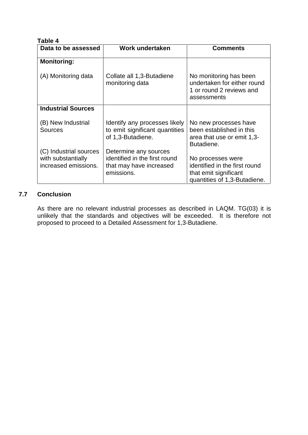| Table 4                                                              |                                                                                                 |                                                                                                             |  |  |
|----------------------------------------------------------------------|-------------------------------------------------------------------------------------------------|-------------------------------------------------------------------------------------------------------------|--|--|
| Data to be assessed                                                  | Work undertaken                                                                                 | <b>Comments</b>                                                                                             |  |  |
| <b>Monitoring:</b>                                                   |                                                                                                 |                                                                                                             |  |  |
| (A) Monitoring data                                                  | Collate all 1,3-Butadiene<br>monitoring data                                                    | No monitoring has been<br>undertaken for either round<br>1 or round 2 reviews and<br>assessments            |  |  |
| <b>Industrial Sources</b>                                            |                                                                                                 |                                                                                                             |  |  |
| (B) New Industrial<br><b>Sources</b>                                 | Identify any processes likely<br>to emit significant quantities<br>of 1,3-Butadiene.            | No new processes have<br>been established in this<br>area that use or emit 1,3-<br>Butadiene.               |  |  |
| (C) Industrial sources<br>with substantially<br>increased emissions. | Determine any sources<br>identified in the first round<br>that may have increased<br>emissions. | No processes were<br>identified in the first round<br>that emit significant<br>quantities of 1,3-Butadiene. |  |  |

## **7.7 Conclusion**

As there are no relevant industrial processes as described in LAQM. TG(03) it is unlikely that the standards and objectives will be exceeded. It is therefore not proposed to proceed to a Detailed Assessment for 1,3-Butadiene.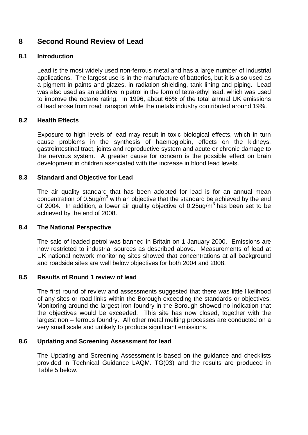# **8 Second Round Review of Lead**

## **8.1 Introduction**

Lead is the most widely used non-ferrous metal and has a large number of industrial applications. The largest use is in the manufacture of batteries, but it is also used as a pigment in paints and glazes, in radiation shielding, tank lining and piping. Lead was also used as an additive in petrol in the form of tetra-ethyl lead, which was used to improve the octane rating. In 1996, about 66% of the total annual UK emissions of lead arose from road transport while the metals industry contributed around 19%.

## **8.2 Health Effects**

Exposure to high levels of lead may result in toxic biological effects, which in turn cause problems in the synthesis of haemoglobin, effects on the kidneys, gastrointestinal tract, joints and reproductive system and acute or chronic damage to the nervous system. A greater cause for concern is the possible effect on brain development in children associated with the increase in blood lead levels.

## **8.3 Standard and Objective for Lead**

The air quality standard that has been adopted for lead is for an annual mean concentration of 0.5ug/m<sup>3</sup> with an objective that the standard be achieved by the end of 2004. In addition, a lower air quality objective of 0.25ug/m<sup>3</sup> has been set to be achieved by the end of 2008.

## **8.4 The National Perspective**

The sale of leaded petrol was banned in Britain on 1 January 2000. Emissions are now restricted to industrial sources as described above. Measurements of lead at UK national network monitoring sites showed that concentrations at all background and roadside sites are well below objectives for both 2004 and 2008.

## **8.5 Results of Round 1 review of lead**

The first round of review and assessments suggested that there was little likelihood of any sites or road links within the Borough exceeding the standards or objectives. Monitoring around the largest iron foundry in the Borough showed no indication that the objectives would be exceeded. This site has now closed, together with the largest non – ferrous foundry. All other metal melting processes are conducted on a very small scale and unlikely to produce significant emissions.

## **8.6 Updating and Screening Assessment for lead**

The Updating and Screening Assessment is based on the guidance and checklists provided in Technical Guidance LAQM. TG(03) and the results are produced in Table 5 below.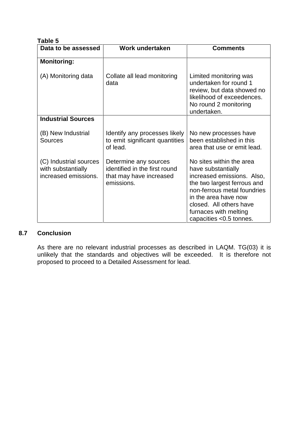| Table 5                                                              |                                                                                                 |                                                                                                                                                                                                                                                   |
|----------------------------------------------------------------------|-------------------------------------------------------------------------------------------------|---------------------------------------------------------------------------------------------------------------------------------------------------------------------------------------------------------------------------------------------------|
| Data to be assessed                                                  | Work undertaken                                                                                 | <b>Comments</b>                                                                                                                                                                                                                                   |
| <b>Monitoring:</b>                                                   |                                                                                                 |                                                                                                                                                                                                                                                   |
| (A) Monitoring data                                                  | Collate all lead monitoring<br>data                                                             | Limited monitoring was<br>undertaken for round 1<br>review, but data showed no<br>likelihood of exceedences.<br>No round 2 monitoring<br>undertaken.                                                                                              |
| <b>Industrial Sources</b>                                            |                                                                                                 |                                                                                                                                                                                                                                                   |
| (B) New Industrial<br>Sources                                        | Identify any processes likely<br>to emit significant quantities<br>of lead.                     | No new processes have<br>been established in this<br>area that use or emit lead.                                                                                                                                                                  |
| (C) Industrial sources<br>with substantially<br>increased emissions. | Determine any sources<br>identified in the first round<br>that may have increased<br>emissions. | No sites within the area<br>have substantially<br>increased emissions. Also,<br>the two largest ferrous and<br>non-ferrous metal foundries<br>in the area have now<br>closed. All others have<br>furnaces with melting<br>capacities <0.5 tonnes. |

## **8.7 Conclusion**

As there are no relevant industrial processes as described in LAQM. TG(03) it is unlikely that the standards and objectives will be exceeded. It is therefore not proposed to proceed to a Detailed Assessment for lead.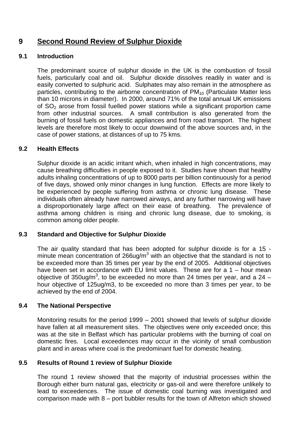# **9 Second Round Review of Sulphur Dioxide**

## **9.1 Introduction**

The predominant source of sulphur dioxide in the UK is the combustion of fossil fuels, particularly coal and oil. Sulphur dioxide dissolves readily in water and is easily converted to sulphuric acid. Sulphates may also remain in the atmosphere as particles, contributing to the airborne concentration of PM<sub>10</sub> (Particulate Matter less than 10 microns in diameter). In 2000, around 71% of the total annual UK emissions of  $SO<sub>2</sub>$  arose from fossil fuelled power stations while a significant proportion came from other industrial sources. A small contribution is also generated from the burning of fossil fuels on domestic appliances and from road transport. The highest levels are therefore most likely to occur downwind of the above sources and, in the case of power stations, at distances of up to 75 kms.

## **9.2 Health Effects**

Sulphur dioxide is an acidic irritant which, when inhaled in high concentrations, may cause breathing difficulties in people exposed to it. Studies have shown that healthy adults inhaling concentrations of up to 8000 parts per billion continuously for a period of five days, showed only minor changes in lung function. Effects are more likely to be experienced by people suffering from asthma or chronic lung disease. These individuals often already have narrowed airways, and any further narrowing will have a disproportionately large affect on their ease of breathing. The prevalence of asthma among children is rising and chronic lung disease, due to smoking, is common among older people.

## **9.3 Standard and Objective for Sulphur Dioxide**

The air quality standard that has been adopted for sulphur dioxide is for a 15 minute mean concentration of 266ug/m<sup>3</sup> with an objective that the standard is not to be exceeded more than 35 times per year by the end of 2005. Additional objectives have been set in accordance with EU limit values. These are for a 1 – hour mean objective of 350ug/m<sup>3</sup>, to be exceeded no more than 24 times per year, and a 24 – hour objective of 125ug/m3, to be exceeded no more than 3 times per year, to be achieved by the end of 2004.

## **9.4 The National Perspective**

Monitoring results for the period 1999 – 2001 showed that levels of sulphur dioxide have fallen at all measurement sites. The objectives were only exceeded once; this was at the site in Belfast which has particular problems with the burning of coal on domestic fires. Local exceedences may occur in the vicinity of small combustion plant and in areas where coal is the predominant fuel for domestic heating.

## **9.5 Results of Round 1 review of Sulphur Dioxide**

The round 1 review showed that the majority of industrial processes within the Borough either burn natural gas, electricity or gas-oil and were therefore unlikely to lead to exceedences. The issue of domestic coal burning was investigated and comparison made with 8 – port bubbler results for the town of Alfreton which showed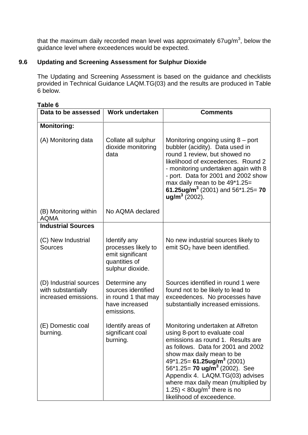that the maximum daily recorded mean level was approximately 67ug/m<sup>3</sup>, below the guidance level where exceedences would be expected.

## **9.6 Updating and Screening Assessment for Sulphur Dioxide**

The Updating and Screening Assessment is based on the guidance and checklists provided in Technical Guidance LAQM.TG(03) and the results are produced in Table 6 below.

| Table 6                                                              |                                                                                              |                                                                                                                                                                                                                                                                                                                                                                                                                         |  |  |
|----------------------------------------------------------------------|----------------------------------------------------------------------------------------------|-------------------------------------------------------------------------------------------------------------------------------------------------------------------------------------------------------------------------------------------------------------------------------------------------------------------------------------------------------------------------------------------------------------------------|--|--|
| Data to be assessed                                                  | <b>Work undertaken</b>                                                                       | <b>Comments</b>                                                                                                                                                                                                                                                                                                                                                                                                         |  |  |
| <b>Monitoring:</b>                                                   |                                                                                              |                                                                                                                                                                                                                                                                                                                                                                                                                         |  |  |
| (A) Monitoring data                                                  | Collate all sulphur<br>dioxide monitoring<br>data                                            | Monitoring ongoing using $8$ – port<br>bubbler (acidity). Data used in<br>round 1 review, but showed no<br>likelihood of exceedences. Round 2<br>- monitoring undertaken again with 8<br>- port. Data for 2001 and 2002 show<br>max daily mean to be 49*1.25=<br>61.25ug/m <sup>3</sup> (2001) and 56*1.25= 70<br>$ug/m3 (2002)$ .                                                                                      |  |  |
| (B) Monitoring within<br><b>AQMA</b>                                 | No AQMA declared                                                                             |                                                                                                                                                                                                                                                                                                                                                                                                                         |  |  |
| <b>Industrial Sources</b>                                            |                                                                                              |                                                                                                                                                                                                                                                                                                                                                                                                                         |  |  |
| (C) New Industrial<br><b>Sources</b>                                 | Identify any<br>processes likely to<br>emit significant<br>quantities of<br>sulphur dioxide. | No new industrial sources likely to<br>emit $SO2$ have been identified.                                                                                                                                                                                                                                                                                                                                                 |  |  |
| (D) Industrial sources<br>with substantially<br>increased emissions. | Determine any<br>sources identified<br>in round 1 that may<br>have increased<br>emissions.   | Sources identified in round 1 were<br>found not to be likely to lead to<br>exceedences. No processes have<br>substantially increased emissions.                                                                                                                                                                                                                                                                         |  |  |
| (E) Domestic coal<br>burning.                                        | Identify areas of<br>significant coal<br>burning.                                            | Monitoring undertaken at Alfreton<br>using 8-port to evaluate coal<br>emissions as round 1. Results are<br>as follows. Data for 2001 and 2002<br>show max daily mean to be<br>$49*1.25 = 61.25$ ug/m <sup>3</sup> (2001)<br>56*1.25= 70 ug/m <sup>3</sup> (2002). See<br>Appendix 4. LAQM.TG(03) advises<br>where max daily mean (multiplied by<br>1.25) < 80ug/m <sup>3</sup> there is no<br>likelihood of exceedence. |  |  |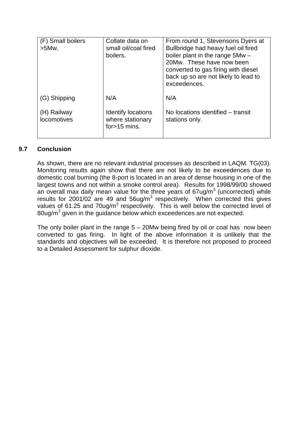| (F) Small boilers<br>$>5$ Mw. | Collate data on<br>small oil/coal fired<br>boilers.       | From round 1, Stevensons Dyers at<br>Bullbridge had heavy fuel oil fired<br>boiler plant in the range 5Mw -<br>20Mw. These have now been<br>converted to gas firing with diesel<br>back up so are not likely to lead to<br>exceedences. |
|-------------------------------|-----------------------------------------------------------|-----------------------------------------------------------------------------------------------------------------------------------------------------------------------------------------------------------------------------------------|
| (G) Shipping                  | N/A                                                       | N/A                                                                                                                                                                                                                                     |
| (H) Railway<br>locomotives    | Identify locations<br>where stationary<br>for $>15$ mins. | No locations identified – transit<br>stations only.                                                                                                                                                                                     |

## **9.7 Conclusion**

As shown, there are no relevant industrial processes as described in LAQM. TG(03). Monitoring results again show that there are not likely to be exceedences due to domestic coal burning (the 8-port is located in an area of dense housing in one of the largest towns and not within a smoke control area). Results for 1998/99/00 showed an overall max daily mean value for the three years of 67ug/m<sup>3</sup> (uncorrected) while results for 2001/02 are 49 and  $56$ ug/m<sup>3</sup> respectively. When corrected this gives values of 61.25 and 70ug/m<sup>3</sup> respectively. This is well below the corrected level of 80ug/m<sup>3</sup> given in the guidance below which exceedences are not expected.

The only boiler plant in the range 5 – 20Mw being fired by oil or coal has now been converted to gas firing. In light of the above information it is unlikely that the standards and objectives will be exceeded. It is therefore not proposed to proceed to a Detailed Assessment for sulphur dioxide.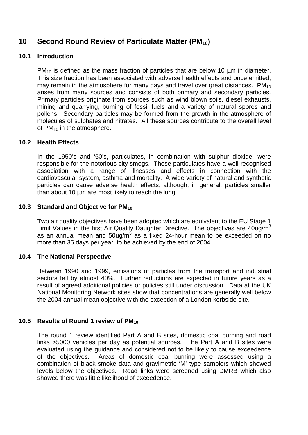# **10 Second Round Review of Particulate Matter (PM10)**

## **10.1 Introduction**

 $PM_{10}$  is defined as the mass fraction of particles that are below 10  $\mu$ m in diameter. This size fraction has been associated with adverse health effects and once emitted, may remain in the atmosphere for many days and travel over great distances.  $PM_{10}$ arises from many sources and consists of both primary and secondary particles. Primary particles originate from sources such as wind blown soils, diesel exhausts, mining and quarrying, burning of fossil fuels and a variety of natural spores and pollens. Secondary particles may be formed from the growth in the atmosphere of molecules of sulphates and nitrates. All these sources contribute to the overall level of  $PM_{10}$  in the atmosphere.

## **10.2 Health Effects**

In the 1950's and '60's, particulates, in combination with sulphur dioxide, were responsible for the notorious city smogs. These particulates have a well-recognised association with a range of illnesses and effects in connection with the cardiovascular system, asthma and mortality. A wide variety of natural and synthetic particles can cause adverse health effects, although, in general, particles smaller than about 10  $\mu$ m are most likely to reach the lung.

## **10.3 Standard and Objective for PM<sup>10</sup>**

Two air quality objectives have been adopted which are equivalent to the EU Stage 1 Limit Values in the first Air Quality Daughter Directive. The objectives are  $40$ ug/m<sup>3</sup> as an annual mean and 50ug/m $3$  as a fixed 24-hour mean to be exceeded on no more than 35 days per year, to be achieved by the end of 2004.

## **10.4 The National Perspective**

Between 1990 and 1999, emissions of particles from the transport and industrial sectors fell by almost 40%. Further reductions are expected in future years as a result of agreed additional policies or policies still under discussion. Data at the UK National Monitoring Network sites show that concentrations are generally well below the 2004 annual mean objective with the exception of a London kerbside site.

## **10.5 Results of Round 1 review of PM<sup>10</sup>**

The round 1 review identified Part A and B sites, domestic coal burning and road links >5000 vehicles per day as potential sources. The Part A and B sites were evaluated using the guidance and considered not to be likely to cause exceedence of the objectives. Areas of domestic coal burning were assessed using a combination of black smoke data and gravimetric 'M' type samplers which showed levels below the objectives. Road links were screened using DMRB which also showed there was little likelihood of exceedence.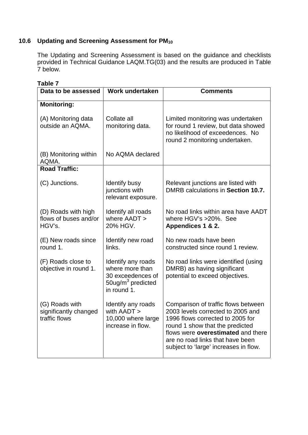# **10.6 Updating and Screening Assessment for PM<sup>10</sup>**

The Updating and Screening Assessment is based on the guidance and checklists provided in Technical Guidance LAQM.TG(03) and the results are produced in Table 7 below.

| Data to be assessed                                      | Work undertaken                                                                                            | <b>Comments</b>                                                                                                                                                                                                                                                    |  |
|----------------------------------------------------------|------------------------------------------------------------------------------------------------------------|--------------------------------------------------------------------------------------------------------------------------------------------------------------------------------------------------------------------------------------------------------------------|--|
| <b>Monitoring:</b>                                       |                                                                                                            |                                                                                                                                                                                                                                                                    |  |
| (A) Monitoring data<br>outside an AQMA.                  | Collate all<br>monitoring data.                                                                            | Limited monitoring was undertaken<br>for round 1 review, but data showed<br>no likelihood of exceedences. No<br>round 2 monitoring undertaken.                                                                                                                     |  |
| (B) Monitoring within<br>AQMA.                           | No AQMA declared                                                                                           |                                                                                                                                                                                                                                                                    |  |
| <b>Road Traffic:</b>                                     |                                                                                                            |                                                                                                                                                                                                                                                                    |  |
| (C) Junctions.                                           | <b>Identify busy</b><br>junctions with<br>relevant exposure.                                               | Relevant junctions are listed with<br>DMRB calculations in Section 10.7.                                                                                                                                                                                           |  |
| (D) Roads with high<br>flows of buses and/or<br>HGV's.   | Identify all roads<br>where AADT ><br>20% HGV.                                                             | No road links within area have AADT<br>where HGV's >20%. See<br>Appendices 1 & 2.                                                                                                                                                                                  |  |
| (E) New roads since<br>round 1.                          | Identify new road<br>links.                                                                                | No new roads have been<br>constructed since round 1 review.                                                                                                                                                                                                        |  |
| (F) Roads close to<br>objective in round 1.              | Identify any roads<br>where more than<br>30 exceedences of<br>50ug/m <sup>3</sup> predicted<br>in round 1. | No road links were identified (using<br>DMRB) as having significant<br>potential to exceed objectives.                                                                                                                                                             |  |
| (G) Roads with<br>significantly changed<br>traffic flows | Identify any roads<br>with AADT ><br>10,000 where large<br>increase in flow.                               | Comparison of traffic flows between<br>2003 levels corrected to 2005 and<br>1996 flows corrected to 2005 for<br>round 1 show that the predicted<br>flows were overestimated and there<br>are no road links that have been<br>subject to 'large' increases in flow. |  |

## **Table 7**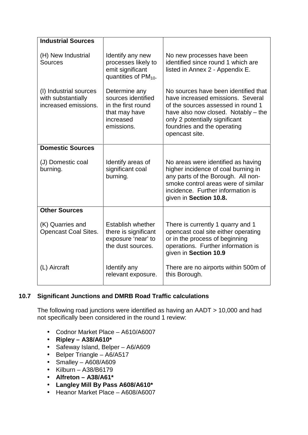| <b>Industrial Sources</b>                                            |                                                                                                       |                                                                                                                                                                                                                                           |  |
|----------------------------------------------------------------------|-------------------------------------------------------------------------------------------------------|-------------------------------------------------------------------------------------------------------------------------------------------------------------------------------------------------------------------------------------------|--|
| (H) New Industrial<br><b>Sources</b>                                 | Identify any new<br>processes likely to<br>emit significant<br>quantities of $PM_{10}$ .              | No new processes have been<br>identified since round 1 which are<br>listed in Annex 2 - Appendix E.                                                                                                                                       |  |
| (I) Industrial sources<br>with substantially<br>increased emissions. | Determine any<br>sources identified<br>in the first round<br>that may have<br>increased<br>emissions. | No sources have been identified that<br>have increased emissions. Several<br>of the sources assessed in round 1<br>have also now closed. Notably – the<br>only 2 potentially significant<br>foundries and the operating<br>opencast site. |  |
| <b>Domestic Sources</b>                                              |                                                                                                       |                                                                                                                                                                                                                                           |  |
| (J) Domestic coal<br>burning.                                        | Identify areas of<br>significant coal<br>burning.                                                     | No areas were identified as having<br>higher incidence of coal burning in<br>any parts of the Borough. All non-<br>smoke control areas were of similar<br>incidence. Further information is<br>given in Section 10.8.                     |  |
| <b>Other Sources</b>                                                 |                                                                                                       |                                                                                                                                                                                                                                           |  |
| (K) Quarries and<br><b>Opencast Coal Sites.</b>                      | Establish whether<br>there is significant<br>exposure 'near' to<br>the dust sources.                  | There is currently 1 quarry and 1<br>opencast coal site either operating<br>or in the process of beginning<br>operations. Further information is<br>given in Section 10.9                                                                 |  |
| (L) Aircraft                                                         | Identify any<br>relevant exposure.                                                                    | There are no airports within 500m of<br>this Borough.                                                                                                                                                                                     |  |

## **10.7 Significant Junctions and DMRB Road Traffic calculations**

The following road junctions were identified as having an AADT > 10,000 and had not specifically been considered in the round 1 review:

- Codnor Market Place A610/A6007
- **Ripley – A38/A610\***
- Safeway Island, Belper A6/A609
- Belper Triangle A6/A517
- Smalley A608/A609
- Kilburn A38/B6179
- **Alfreton – A38/A61\***
- **Langley Mill By Pass A608/A610\***
- Heanor Market Place A608/A6007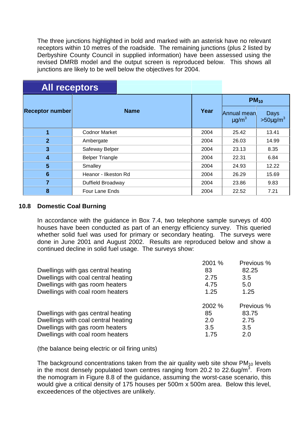The three junctions highlighted in bold and marked with an asterisk have no relevant receptors within 10 metres of the roadside. The remaining junctions (plus 2 listed by Derbyshire County Council in supplied information) have been assessed using the revised DMRB model and the output screen is reproduced below. This shows all junctions are likely to be well below the objectives for 2004.

| <b>All receptors</b>   |                        |      |                                       |                         |  |
|------------------------|------------------------|------|---------------------------------------|-------------------------|--|
|                        | <b>Name</b>            |      | $PM_{10}$                             |                         |  |
| <b>Receptor number</b> |                        | Year | Annual mean<br>$\mu$ g/m <sup>3</sup> | Days<br>$>50 \mu g/m^3$ |  |
| 1                      | <b>Codnor Market</b>   | 2004 | 25.42                                 | 13.41                   |  |
| $\overline{2}$         | Ambergate              | 2004 | 26.03                                 | 14.99                   |  |
| 3                      | Safeway Belper         | 2004 | 23.13                                 | 8.35                    |  |
| 4                      | <b>Belper Triangle</b> | 2004 | 22.31                                 | 6.84                    |  |
| 5                      | Smalley                | 2004 | 24.93                                 | 12.22                   |  |
| $6\phantom{1}6$        | Heanor - Ilkeston Rd   | 2004 | 26.29                                 | 15.69                   |  |
| $\overline{7}$         | Duffield Broadway      | 2004 | 23.86                                 | 9.83                    |  |
| 8                      | <b>Four Lane Ends</b>  | 2004 | 22.52                                 | 7.21                    |  |

#### **10.8 Domestic Coal Burning**

In accordance with the guidance in Box 7.4, two telephone sample surveys of 400 houses have been conducted as part of an energy efficiency survey. This queried whether solid fuel was used for primary or secondary heating. The surveys were done in June 2001 and August 2002. Results are reproduced below and show a continued decline in solid fuel usage. The surveys show:

|                                     | 2001 % | Previous % |
|-------------------------------------|--------|------------|
| Dwellings with gas central heating  | 83     | 82.25      |
| Dwellings with coal central heating | 2.75   | 3.5        |
| Dwellings with gas room heaters     | 4.75   | 5.0        |
| Dwellings with coal room heaters    | 1.25   | 1.25       |
|                                     | 2002 % | Previous % |
| Dwellings with gas central heating  | 85     | 83.75      |
| Dwellings with coal central heating | 2.0    | 2.75       |
| Dwellings with gas room heaters     | 3.5    | 3.5        |
| Dwellings with coal room heaters    | 1.75   | 2.0        |

(the balance being electric or oil firing units)

The background concentrations taken from the air quality web site show  $PM<sub>10</sub>$  levels in the most densely populated town centres ranging from 20.2 to 22.6ug/m<sup>3</sup>. From the nomogram in Figure 8.8 of the guidance, assuming the worst-case scenario, this would give a critical density of 175 houses per 500m x 500m area. Below this level, exceedences of the objectives are unlikely.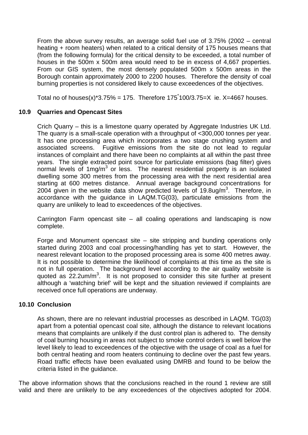From the above survey results, an average solid fuel use of 3.75% (2002 – central heating + room heaters) when related to a critical density of 175 houses means that (from the following formula) for the critical density to be exceeded, a total number of houses in the 500m x 500m area would need to be in excess of 4,667 properties. From our GIS system, the most densely populated 500m x 500m areas in the Borough contain approximately 2000 to 2200 houses. Therefore the density of coal burning properties is not considered likely to cause exceedences of the objectives.

Total no of houses(x)\*3.75% = 175. Therefore  $175^{\degree}100/3.75 = X$  ie. X=4667 houses.

## **10.9 Quarries and Opencast Sites**

Crich Quarry – this is a limestone quarry operated by Aggregate Industries UK Ltd. The quarry is a small-scale operation with a throughput of <300,000 tonnes per year. It has one processing area which incorporates a two stage crushing system and associated screens. Fugitive emissions from the site do not lead to regular instances of complaint and there have been no complaints at all within the past three years. The single extracted point source for particulate emissions (bag filter) gives normal levels of 1mg/m<sup>3</sup> or less. The nearest residential property is an isolated dwelling some 300 metres from the processing area with the next residential area starting at 600 metres distance. Annual average background concentrations for 2004 given in the website data show predicted levels of 19.8ug/m<sup>3</sup>. Therefore, in accordance with the guidance in LAQM.TG(03), particulate emissions from the quarry are unlikely to lead to exceedences of the objectives.

Carrington Farm opencast site – all coaling operations and landscaping is now complete.

Forge and Monument opencast site – site stripping and bunding operations only started during 2003 and coal processing/handling has yet to start. However, the nearest relevant location to the proposed processing area is some 400 metres away. It is not possible to determine the likelihood of complaints at this time as the site is not in full operation. The background level according to the air quality website is quoted as  $22.2$ um/m<sup>3</sup>. It is not proposed to consider this site further at present although a 'watching brief' will be kept and the situation reviewed if complaints are received once full operations are underway.

## **10.10 Conclusion**

As shown, there are no relevant industrial processes as described in LAQM. TG(03) apart from a potential opencast coal site, although the distance to relevant locations means that complaints are unlikely if the dust control plan is adhered to. The density of coal burning housing in areas not subject to smoke control orders is well below the level likely to lead to exceedences of the objective with the usage of coal as a fuel for both central heating and room heaters continuing to decline over the past few years. Road traffic effects have been evaluated using DMRB and found to be below the criteria listed in the guidance.

The above information shows that the conclusions reached in the round 1 review are still valid and there are unlikely to be any exceedences of the objectives adopted for 2004.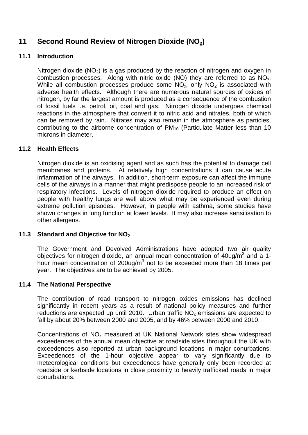# **11 Second Round Review of Nitrogen Dioxide (NO2)**

## **11.1 Introduction**

Nitrogen dioxide  $(NO<sub>2</sub>)$  is a gas produced by the reaction of nitrogen and oxygen in combustion processes. Along with nitric oxide (NO) they are referred to as NOx. While all combustion processes produce some  $NO<sub>x</sub>$ , only  $NO<sub>2</sub>$  is associated with adverse health effects. Although there are numerous natural sources of oxides of nitrogen, by far the largest amount is produced as a consequence of the combustion of fossil fuels i.e. petrol, oil, coal and gas. Nitrogen dioxide undergoes chemical reactions in the atmosphere that convert it to nitric acid and nitrates, both of which can be removed by rain. Nitrates may also remain in the atmosphere as particles, contributing to the airborne concentration of  $PM_{10}$  (Particulate Matter less than 10 microns in diameter.

## **11.2 Health Effects**

Nitrogen dioxide is an oxidising agent and as such has the potential to damage cell membranes and proteins. At relatively high concentrations it can cause acute inflammation of the airways. In addition, short-term exposure can affect the immune cells of the airways in a manner that might predispose people to an increased risk of respiratory infections. Levels of nitrogen dioxide required to produce an effect on people with healthy lungs are well above what may be experienced even during extreme pollution episodes. However, in people with asthma, some studies have shown changes in lung function at lower levels. It may also increase sensitisation to other allergens.

## **11.3 Standard and Objective for NO<sup>2</sup>**

The Government and Devolved Administrations have adopted two air quality objectives for nitrogen dioxide, an annual mean concentration of 40ug/m<sup>3</sup> and a 1hour mean concentration of 200ug/m<sup>3</sup> not to be exceeded more than 18 times per year. The objectives are to be achieved by 2005.

## **11.4 The National Perspective**

The contribution of road transport to nitrogen oxides emissions has declined significantly in recent years as a result of national policy measures and further reductions are expected up until 2010. Urban traffic  $NO<sub>x</sub>$  emissions are expected to fall by about 20% between 2000 and 2005, and by 46% between 2000 and 2010.

Concentrations of  $NO<sub>x</sub>$  measured at UK National Network sites show widespread exceedences of the annual mean objective at roadside sites throughout the UK with exceedences also reported at urban background locations in major conurbations. Exceedences of the 1-hour objective appear to vary significantly due to meteorological conditions but exceedences have generally only been recorded at roadside or kerbside locations in close proximity to heavily trafficked roads in major conurbations.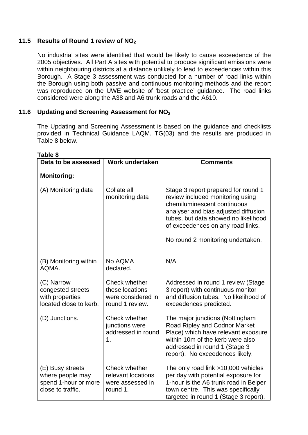## **11.5 Results of Round 1 review of NO<sup>2</sup>**

No industrial sites were identified that would be likely to cause exceedence of the 2005 objectives. All Part A sites with potential to produce significant emissions were within neighbouring districts at a distance unlikely to lead to exceedences within this Borough. A Stage 3 assessment was conducted for a number of road links within the Borough using both passive and continuous monitoring methods and the report was reproduced on the UWE website of 'best practice' guidance. The road links considered were along the A38 and A6 trunk roads and the A610.

## **11.6 Updating and Screening Assessment for NO<sup>2</sup>**

The Updating and Screening Assessment is based on the guidance and checklists provided in Technical Guidance LAQM. TG(03) and the results are produced in Table 8 below.

| Data to be assessed                                                               | Work undertaken                                                           | <b>Comments</b>                                                                                                                                                                                                                                                  |
|-----------------------------------------------------------------------------------|---------------------------------------------------------------------------|------------------------------------------------------------------------------------------------------------------------------------------------------------------------------------------------------------------------------------------------------------------|
| <b>Monitoring:</b>                                                                |                                                                           |                                                                                                                                                                                                                                                                  |
| (A) Monitoring data                                                               | Collate all<br>monitoring data                                            | Stage 3 report prepared for round 1<br>review included monitoring using<br>chemiluminescent continuous<br>analyser and bias adjusted diffusion<br>tubes, but data showed no likelihood<br>of exceedences on any road links.<br>No round 2 monitoring undertaken. |
| (B) Monitoring within<br>AQMA.                                                    | No AQMA<br>declared.                                                      | N/A                                                                                                                                                                                                                                                              |
| (C) Narrow<br>congested streets<br>with properties<br>located close to kerb.      | Check whether<br>these locations<br>were considered in<br>round 1 review. | Addressed in round 1 review (Stage<br>3 report) with continuous monitor<br>and diffusion tubes. No likelihood of<br>exceedences predicted.                                                                                                                       |
| (D) Junctions.                                                                    | <b>Check whether</b><br>junctions were<br>addressed in round<br>1.        | The major junctions (Nottingham<br>Road Ripley and Codnor Market<br>Place) which have relevant exposure<br>within 10m of the kerb were also<br>addressed in round 1 (Stage 3<br>report). No exceedences likely.                                                  |
| (E) Busy streets<br>where people may<br>spend 1-hour or more<br>close to traffic. | Check whether<br>relevant locations<br>were assessed in<br>round 1.       | The only road link >10,000 vehicles<br>per day with potential exposure for<br>1-hour is the A6 trunk road in Belper<br>town centre. This was specifically<br>targeted in round 1 (Stage 3 report).                                                               |

#### **Table 8**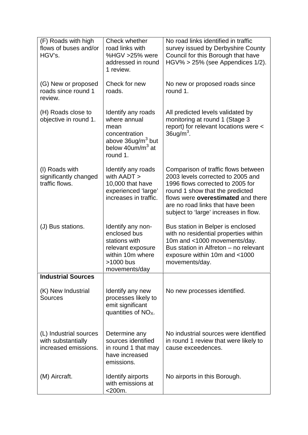| (F) Roads with high<br>flows of buses and/or<br>HGV's.               | Check whether<br>road links with<br>%HGV >25% were                                                                                 | No road links identified in traffic<br>survey issued by Derbyshire County<br>Council for this Borough that have                                                                                                                                                    |
|----------------------------------------------------------------------|------------------------------------------------------------------------------------------------------------------------------------|--------------------------------------------------------------------------------------------------------------------------------------------------------------------------------------------------------------------------------------------------------------------|
|                                                                      | addressed in round<br>1 review.                                                                                                    | $HGV\%$ > 25% (see Appendices 1/2).                                                                                                                                                                                                                                |
| (G) New or proposed<br>roads since round 1<br>review.                | Check for new<br>roads.                                                                                                            | No new or proposed roads since<br>round 1.                                                                                                                                                                                                                         |
| (H) Roads close to<br>objective in round 1.                          | Identify any roads<br>where annual<br>mean<br>concentration<br>above 36ug/m <sup>3</sup> but<br>below $40$ um/m $3$ at<br>round 1. | All predicted levels validated by<br>monitoring at round 1 (Stage 3<br>report) for relevant locations were <<br>$36$ ug/m <sup>3</sup> .                                                                                                                           |
| (I) Roads with<br>significantly changed<br>traffic flows.            | Identify any roads<br>with AADT ><br>10,000 that have<br>experienced 'large'<br>increases in traffic.                              | Comparison of traffic flows between<br>2003 levels corrected to 2005 and<br>1996 flows corrected to 2005 for<br>round 1 show that the predicted<br>flows were overestimated and there<br>are no road links that have been<br>subject to 'large' increases in flow. |
| (J) Bus stations.                                                    | Identify any non-<br>enclosed bus<br>stations with<br>relevant exposure<br>within 10m where<br>>1000 bus<br>movements/day          | Bus station in Belper is enclosed<br>with no residential properties within<br>10m and <1000 movements/day.<br>Bus station in Alfreton - no relevant<br>exposure within 10m and <1000<br>movements/day.                                                             |
| <b>Industrial Sources</b>                                            |                                                                                                                                    |                                                                                                                                                                                                                                                                    |
| (K) New Industrial<br><b>Sources</b>                                 | Identify any new<br>processes likely to<br>emit significant<br>quantities of $NOX$ .                                               | No new processes identified.                                                                                                                                                                                                                                       |
| (L) Industrial sources<br>with substantially<br>increased emissions. | Determine any<br>sources identified<br>in round 1 that may<br>have increased<br>emissions.                                         | No industrial sources were identified<br>in round 1 review that were likely to<br>cause exceedences.                                                                                                                                                               |
| (M) Aircraft.                                                        | Identify airports<br>with emissions at<br>$<$ 200 $m$ .                                                                            | No airports in this Borough.                                                                                                                                                                                                                                       |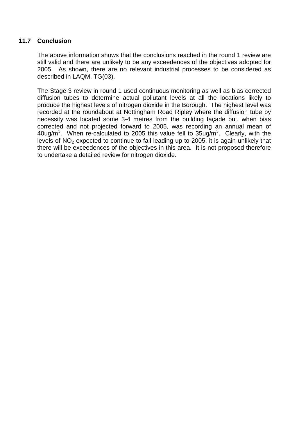## **11.7 Conclusion**

The above information shows that the conclusions reached in the round 1 review are still valid and there are unlikely to be any exceedences of the objectives adopted for 2005. As shown, there are no relevant industrial processes to be considered as described in LAQM. TG(03).

The Stage 3 review in round 1 used continuous monitoring as well as bias corrected diffusion tubes to determine actual pollutant levels at all the locations likely to produce the highest levels of nitrogen dioxide in the Borough. The highest level was recorded at the roundabout at Nottingham Road Ripley where the diffusion tube by necessity was located some 3-4 metres from the building façade but, when bias corrected and not projected forward to 2005, was recording an annual mean of 40ug/m<sup>3</sup>. When re-calculated to 2005 this value fell to  $35$ ug/m<sup>3</sup>. Clearly, with the levels of  $NO<sub>2</sub>$  expected to continue to fall leading up to 2005, it is again unlikely that there will be exceedences of the objectives in this area. It is not proposed therefore to undertake a detailed review for nitrogen dioxide.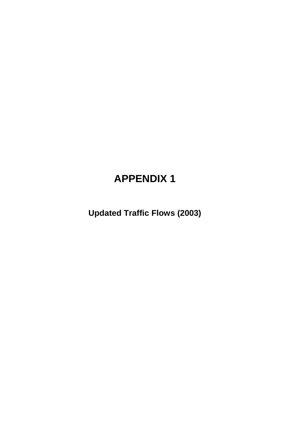# **APPENDIX 1**

**Updated Traffic Flows (2003)**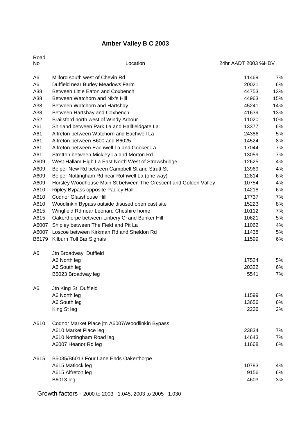# **Amber Valley B C 2003**

| Road<br>No     | Location                                                         | 24hr AADT 2003 %HDV |     |
|----------------|------------------------------------------------------------------|---------------------|-----|
| A6             | Milford south west of Chevin Rd                                  | 11469               | 7%  |
| A6             | Duffield near Burley Meadows Farm                                | 20021               | 6%  |
| A38            | Between Little Eaton and Coxbench                                | 44753               | 13% |
| A38            | Between Watchorn and Nix's Hill                                  | 44963               | 15% |
| A38            | Between Watchorn and Hartshay                                    | 45241               | 14% |
| A38            | Between Hartshay and Coxbench                                    | 41639               | 13% |
| A52            | Brailsford north west of Windy Arbour                            | 11020               | 10% |
| A61            | Shirland between Park La and Hallfieldgate La                    | 13377               | 6%  |
| A61            | Alfreton between Watchorn and Eachwell La                        | 24386               | 5%  |
| A61            | Alfreton between B600 and B6025                                  | 14524               | 8%  |
| A61            | Alfreton between Eachwell La and Gooker La                       | 17044               | 7%  |
| A61            | Stretton between Mickley La and Morton Rd                        | 13059               | 7%  |
| A609           | West Hallam High La East North West of Strawsbridge              | 12625               | 4%  |
| A609           | Belper New Rd between Campbell St and Strutt St                  | 13969               | 4%  |
| A609           | Belper Nottingham Rd near Rothwell La (one way)                  | 12814               | 6%  |
| A609           | Horsley Woodhouse Main St between The Crescent and Golden Valley | 10754               | 4%  |
| A610           | Ripley Bypass opposite Padley Hall                               | 14218               | 6%  |
| A610           | <b>Codnor Glasshouse Hill</b>                                    | 17737               | 7%  |
| A610           | Woodlinkin Bypass outside disused open cast site                 | 15223               | 8%  |
| A615           | Wingfield Rd near Leonard Cheshire home                          | 10112               | 7%  |
| A615           | Oakerthorpe between Linbery CI and Bunker Hill                   | 10621               | 5%  |
| A6007          | Shipley between The Field and Pit La                             | 11062               | 4%  |
| A6007          | Loscoe between Kirkman Rd and Sheldon Rd                         | 11438               | 5%  |
| B6179          | Kilburn Toll Bar Signals                                         | 11599               | 6%  |
| A6             | Jtn Broadway Duffield                                            |                     |     |
|                | A6 North leg                                                     | 17524               | 5%  |
|                | A6 South leg                                                     | 20322               | 6%  |
|                | B5023 Broadway leg                                               | 5541                | 7%  |
| A <sub>6</sub> | Jtn King St Duffield                                             |                     |     |
|                | A6 North leg                                                     | 11599               | 6%  |
|                | A6 South leg                                                     | 13656               | 6%  |
|                | King St leg                                                      | 2236                | 2%  |
| A610           | Codnor Market Place jtn A6007/Woodlinkin Bypass                  |                     |     |
|                | A610 Market Place leg                                            | 23834               | 7%  |
|                | A610 Nottingham Road leg                                         | 14643               | 7%  |
|                | A6007 Heanor Rd leg                                              | 11668               | 6%  |
| A615           | B5035/B6013 Four Lane Ends Oakerthorpe                           |                     |     |
|                | A615 Matlock leg                                                 | 10783               | 4%  |
|                | A615 Alfreton leg                                                | 9156                | 6%  |
|                | <b>B6013</b> leg                                                 | 4603                | 3%  |

Growth factors - 2000 to 2003 1.045, 2003 to 2005 1.030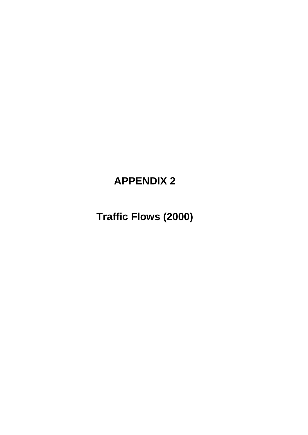# **APPENDIX 2**

**Traffic Flows (2000)**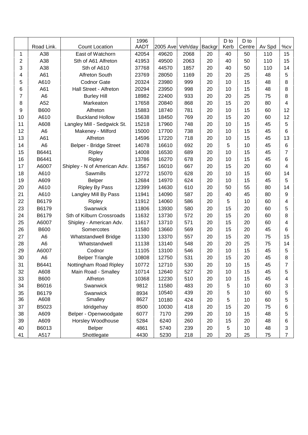|    |                |                              | 1996  |          |         |        | D to | D to   |        |                |
|----|----------------|------------------------------|-------|----------|---------|--------|------|--------|--------|----------------|
|    | Road Link.     | <b>Count Location</b>        | AADT  | 2005 Ave | Veh/day | Backgr | Kerb | Centre | Av Spd | %cv            |
| 1  | A38            | East of Watchorn             | 42054 | 49620    | 2068    | 20     | 40   | 50     | 110    | 15             |
| 2  | A38            | Sth of A61 Alfreton          | 41953 | 49500    | 2063    | 20     | 40   | 50     | 110    | 15             |
| 3  | A38            | Sth of A610                  | 37768 | 44570    | 1857    | 20     | 40   | 50     | 110    | 14             |
| 4  | A61            | Alfreton South               | 23769 | 28050    | 1169    | 20     | 20   | 25     | 48     | 5              |
| 5  | A610           | <b>Codnor Gate</b>           | 20324 | 23980    | 999     | 20     | 10   | 15     | 48     | 8              |
| 6  | A61            | Hall Street - Alfreton       | 20294 | 23950    | 998     | 20     | 10   | 15     | 48     | 8              |
| 7  | A <sub>6</sub> | <b>Burley Hill</b>           | 18982 | 22400    | 933     | 20     | 20   | 25     | 75     | 8              |
| 8  | A52            | Markeaton                    | 17658 | 20840    | 868     | 20     | 15   | 20     | 80     | 4              |
| 9  | <b>B600</b>    | Alfreton                     | 15883 | 18740    | 781     | 20     | 10   | 15     | 60     | 12             |
| 10 | A610           | <b>Buckland Hollow</b>       | 15638 | 18450    | 769     | 20     | 15   | 20     | 60     | 12             |
| 11 | A608           | Langley Mill - Sedgwick St.  | 15218 | 17960    | 748     | 20     | 10   | 15     | 45     | 5              |
| 12 | A <sub>6</sub> | Makeney - Milford            | 15000 | 17700    | 738     | 20     | 10   | 15     | 45     | 6              |
| 13 | A61            | Alfreton                     | 14596 | 17220    | 718     | 20     | 10   | 15     | 45     | 13             |
| 14 | A <sub>6</sub> | Belper - Bridge Street       | 14078 | 16610    | 692     | 20     | 5    | 10     | 45     | $\,6$          |
| 15 | B6441          | Ripley                       | 14008 | 16530    | 689     | 20     | 10   | 15     | 45     | 7              |
| 16 | B6441          | Ripley                       | 13786 | 16270    | 678     | 20     | 10   | 15     | 45     | 6              |
| 17 | A6007          | Shipley - N of American Adv. | 13567 | 16010    | 667     | 20     | 15   | 20     | 60     | 4              |
| 18 | A610           | Sawmills                     | 12772 | 15070    | 628     | 20     | 10   | 15     | 60     | 14             |
| 19 | A609           | <b>Belper</b>                | 12684 | 14970    | 624     | 20     | 10   | 15     | 45     | 5              |
| 20 | A610           | <b>Ripley By Pass</b>        | 12399 | 14630    | 610     | 20     | 50   | 55     | 80     | 14             |
| 21 | A610           | Langley Mill By Pass         | 11941 | 14090    | 587     | 20     | 40   | 45     | 80     | 9              |
| 22 | B6179          | Ripley                       | 11912 | 14060    | 586     | 20     | 5    | 10     | 60     | 4              |
| 23 | B6179          | Swanwick                     | 11806 | 13930    | 580     | 20     | 15   | 20     | 60     | 5              |
| 24 | B6179          | Sth of Kilburn Crossroads    | 11632 | 13730    | 572     | 20     | 15   | 20     | 60     | 8              |
| 25 | A6007          | Shipley - American Adv.      | 11617 | 13710    | 571     | 20     | 15   | 20     | 60     | 4              |
| 26 | <b>B600</b>    | Somercotes                   | 11580 | 13660    | 569     | 20     | 15   | 20     | 45     | $\,6$          |
| 27 | A <sub>6</sub> | Whatstandwell Bridge         | 11330 | 13370    | 557     | 20     | 15   | 20     | 75     | 15             |
| 28 | A <sub>6</sub> | Whatstandwell                | 11138 | 13140    | 548     | 20     | 20   | 25     | 75     | 14             |
| 29 | A6007          | Codnor                       | 11105 | 13100    | 546     | 20     | 10   | 15     | 45     | 5              |
| 30 | A <sub>6</sub> | <b>Belper Triangle</b>       | 10808 | 12750    | 531     | 20     | 15   | 20     | 45     | 8              |
| 31 | B6441          | Nottingham Road Ripley       | 10772 | 12710    | 530     | 20     | 10   | 15     | 45     | 7              |
| 32 | A608           | Main Road - Smalley          | 10714 | 12640    | 527     | 20     | 10   | 15     | 45     | 5              |
| 33 | <b>B600</b>    | Alfreton                     | 10368 | 12230    | 510     | 20     | 10   | 15     | 45     | 4              |
| 34 | B6016          | Swanwick                     | 9812  | 11580    | 483     | 20     | 5    | 10     | 60     | 3              |
| 35 | B6179          | Swanwick                     | 8934  | 10540    | 439     | 20     | 5    | 10     | 60     | 5              |
| 36 | A608           | Smalley                      | 8627  | 10180    | 424     | 20     | 5    | 10     | 60     | 5              |
| 37 | B5023          | Idridgehay                   | 8500  | 10030    | 418     | 20     | 15   | 20     | 75     | 6              |
| 38 | A609           | Belper - Openwoodgate        | 6077  | 7170     | 299     | 20     | 10   | 15     | 48     | 5              |
| 39 | A609           | Horsley Woodhouse            | 5284  | 6240     | 260     | 20     | 15   | 20     | 48     | 6              |
| 40 | B6013          | <b>Belper</b>                | 4861  | 5740     | 239     | 20     | 5    | 10     | 48     | 3              |
| 41 | A517           | Shottlegate                  | 4430  | 5230     | 218     | 20     | 20   | 25     | 75     | $\overline{7}$ |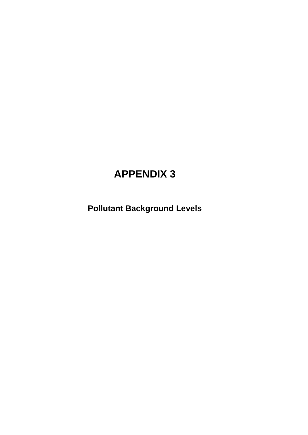# **APPENDIX 3**

**Pollutant Background Levels**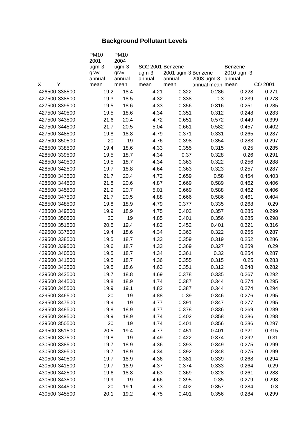# **Background Pollutant Levels**

|               |   | <b>PM10</b>     | <b>PM10</b>     |                  |                              |                  |                       |         |
|---------------|---|-----------------|-----------------|------------------|------------------------------|------------------|-----------------------|---------|
|               |   | 2001            | 2004            |                  |                              |                  |                       |         |
|               |   | $ugm-3$         | $ugm-3$         | SO2 2001 Benzene |                              |                  | Benzene<br>2010 ugm-3 |         |
|               |   | grav.<br>annual | grav.<br>annual | ugm-3<br>annual  | 2001 ugm-3 Benzene<br>annual | 2003 ugm-3       | annual                |         |
| X             | Υ | mean            | mean            | mean             | mean                         | annual mean mean |                       | CO 2001 |
| 426500 338500 |   | 19.2            | 18.4            | 4.21             | 0.322                        | 0.286            | 0.228                 | 0.271   |
| 427500 338500 |   | 19.3            | 18.5            | 4.32             | 0.338                        | 0.3              | 0.239                 | 0.278   |
| 427500 339500 |   | 19.5            | 18.6            | 4.33             | 0.356                        | 0.316            | 0.251                 | 0.285   |
| 427500 340500 |   | 19.5            | 18.6            | 4.34             | 0.351                        | 0.312            | 0.248                 | 0.283   |
| 427500 343500 |   | 21.6            | 20.4            | 4.72             | 0.651                        | 0.572            | 0.449                 | 0.399   |
| 427500 344500 |   | 21.7            | 20.5            | 5.04             | 0.661                        | 0.582            | 0.457                 | 0.402   |
| 427500 348500 |   | 19.8            | 18.8            | 4.79             | 0.371                        | 0.331            | 0.265                 | 0.287   |
| 427500 350500 |   | 20              | 19              | 4.76             | 0.398                        | 0.354            | 0.283                 | 0.297   |
| 428500 338500 |   | 19.4            | 18.6            | 4.33             | 0.355                        | 0.315            | 0.25                  | 0.285   |
| 428500 339500 |   | 19.5            | 18.7            | 4.34             | 0.37                         | 0.328            | 0.26                  | 0.291   |
| 428500 340500 |   | 19.5            | 18.7            | 4.34             | 0.363                        | 0.322            | 0.256                 | 0.288   |
| 428500 342500 |   | 19.7            | 18.8            | 4.64             | 0.363                        | 0.323            | 0.257                 | 0.287   |
| 428500 343500 |   | 21.7            | 20.4            | 4.72             | 0.659                        | 0.58             | 0.454                 | 0.403   |
| 428500 344500 |   | 21.8            | 20.6            | 4.87             | 0.669                        | 0.589            | 0.462                 | 0.406   |
| 428500 345500 |   | 21.9            | 20.7            | 5.01             | 0.669                        | 0.588            | 0.462                 | 0.406   |
| 428500 347500 |   | 21.7            | 20.5            | 4.88             | 0.666                        | 0.586            | 0.461                 | 0.404   |
| 428500 348500 |   | 19.8            | 18.9            | 4.79             | 0.377                        | 0.335            | 0.268                 | 0.29    |
| 428500 349500 |   | 19.9            | 18.9            | 4.75             | 0.402                        | 0.357            | 0.285                 | 0.299   |
| 428500 350500 |   | 20              | 19              | 4.85             | 0.401                        | 0.356            | 0.285                 | 0.298   |
| 428500 351500 |   | 20.5            | 19.4            | 4.82             | 0.452                        | 0.401            | 0.321                 | 0.316   |
| 429500 337500 |   | 19.4            | 18.6            | 4.34             | 0.363                        | 0.322            | 0.255                 | 0.287   |
| 429500 338500 |   | 19.5            | 18.7            | 4.33             | 0.359                        | 0.319            | 0.252                 | 0.286   |
| 429500 339500 |   | 19.6            | 18.7            | 4.33             | 0.369                        | 0.327            | 0.259                 | 0.29    |
| 429500 340500 |   | 19.5            | 18.7            | 4.34             | 0.361                        | 0.32             | 0.254                 | 0.287   |
| 429500 341500 |   | 19.5            | 18.7            | 4.36             | 0.355                        | 0.315            | 0.25                  | 0.283   |
| 429500 342500 |   | 19.5            | 18.6            | 4.63             | 0.351                        | 0.312            | 0.248                 | 0.282   |
| 429500 343500 |   | 19.7            | 18.8            | 4.69             | 0.378                        | 0.335            | 0.267                 | 0.292   |
| 429500 344500 |   | 19.8            | 18.9            | 4.74             | 0.387                        | 0.344            | 0.274                 | 0.295   |
| 429500 345500 |   | 19.9            | 19.1            | 4.82             | 0.387                        | 0.344            | 0.274                 | 0.294   |
| 429500 346500 |   | 20              | 19              | 4.88             | 0.39                         | 0.346            | 0.276                 | 0.295   |
| 429500 347500 |   | 19.9            | 19              | 4.77             | 0.391                        | 0.347            | 0.277                 | 0.295   |
| 429500 348500 |   | 19.8            | 18.9            | 4.77             | 0.378                        | 0.336            | 0.269                 | 0.289   |
| 429500 349500 |   | 19.9            | 18.9            | 4.74             | 0.402                        | 0.358            | 0.286                 | 0.298   |
| 429500 350500 |   | 20              | 19              | 4.74             | 0.401                        | 0.356            | 0.286                 | 0.297   |
| 429500 351500 |   | 20.5            | 19.4            | 4.77             | 0.451                        | 0.401            | 0.321                 | 0.315   |
| 430500 337500 |   | 19.8            | 19              | 4.49             | 0.422                        | 0.374            | 0.292                 | 0.31    |
| 430500 338500 |   | 19.7            | 18.9            | 4.36             | 0.393                        | 0.349            | 0.275                 | 0.299   |
| 430500 339500 |   | 19.7            | 18.9            | 4.34             | 0.392                        | 0.348            | 0.275                 | 0.299   |
| 430500 340500 |   | 19.7            | 18.9            | 4.36             | 0.381                        | 0.339            | 0.268                 | 0.294   |
| 430500 341500 |   | 19.7            | 18.9            | 4.37             | 0.374                        | 0.333            | 0.264                 | 0.29    |
| 430500 342500 |   | 19.6            | 18.8            | 4.63             | 0.369                        | 0.328            | 0.261                 | 0.288   |
| 430500 343500 |   | 19.9            | 19              | 4.66             | 0.395                        | 0.35             | 0.279                 | 0.298   |
| 430500 344500 |   | 20              | 19.1            | 4.73             | 0.402                        | 0.357            | 0.284                 | 0.3     |
| 430500 345500 |   | 20.1            | 19.2            | 4.75             | 0.401                        | 0.356            | 0.284                 | 0.299   |
|               |   |                 |                 |                  |                              |                  |                       |         |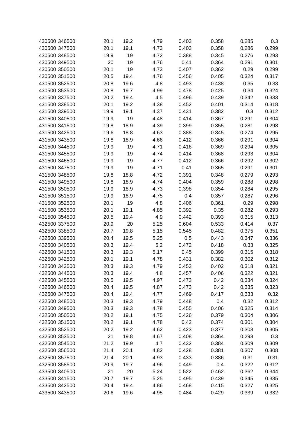| 430500 346500 | 20.1 | 19.2 | 4.79 | 0.403 | 0.358 | 0.285 | 0.3   |
|---------------|------|------|------|-------|-------|-------|-------|
| 430500 347500 | 20.1 | 19.1 | 4.73 | 0.403 | 0.358 | 0.286 | 0.299 |
| 430500 348500 | 19.9 | 19   | 4.72 | 0.388 | 0.345 | 0.276 | 0.293 |
| 430500 349500 | 20   | 19   | 4.76 | 0.41  | 0.364 | 0.291 | 0.301 |
| 430500 350500 | 20.1 | 19   | 4.73 | 0.407 | 0.362 | 0.29  | 0.299 |
| 430500 351500 | 20.5 | 19.4 | 4.76 | 0.456 | 0.405 | 0.324 | 0.317 |
| 430500 352500 | 20.8 | 19.6 | 4.8  | 0.493 | 0.438 | 0.35  | 0.33  |
| 430500 353500 | 20.8 | 19.7 | 4.99 | 0.478 | 0.425 | 0.34  | 0.324 |
| 431500 337500 | 20.2 | 19.4 | 4.5  | 0.496 | 0.439 | 0.342 | 0.333 |
| 431500 338500 | 20.1 | 19.2 | 4.38 | 0.452 | 0.401 | 0.314 | 0.318 |
| 431500 339500 | 19.9 | 19.1 | 4.37 | 0.431 | 0.382 | 0.3   | 0.312 |
| 431500 340500 | 19.9 | 19   | 4.48 | 0.414 | 0.367 | 0.291 | 0.304 |
| 431500 341500 | 19.8 | 18.9 | 4.39 | 0.399 | 0.355 | 0.281 | 0.298 |
| 431500 342500 | 19.6 | 18.8 | 4.63 | 0.388 | 0.345 | 0.274 | 0.295 |
|               |      |      |      |       |       |       |       |
| 431500 343500 | 19.8 | 18.9 | 4.66 | 0.412 | 0.366 | 0.291 | 0.304 |
| 431500 344500 | 19.9 | 19   | 4.71 | 0.416 | 0.369 | 0.294 | 0.305 |
| 431500 345500 | 19.9 | 19   | 4.74 | 0.414 | 0.368 | 0.293 | 0.304 |
| 431500 346500 | 19.9 | 19   | 4.77 | 0.412 | 0.366 | 0.292 | 0.302 |
| 431500 347500 | 19.9 | 19   | 4.71 | 0.41  | 0.365 | 0.291 | 0.301 |
| 431500 348500 | 19.8 | 18.8 | 4.72 | 0.391 | 0.348 | 0.279 | 0.293 |
| 431500 349500 | 19.8 | 18.9 | 4.74 | 0.404 | 0.359 | 0.288 | 0.298 |
| 431500 350500 | 19.9 | 18.9 | 4.73 | 0.398 | 0.354 | 0.284 | 0.295 |
| 431500 351500 | 19.9 | 18.9 | 4.75 | 0.4   | 0.357 | 0.287 | 0.296 |
| 431500 352500 | 20.1 | 19   | 4.8  | 0.406 | 0.361 | 0.29  | 0.298 |
| 431500 353500 | 20.1 | 19.1 | 4.85 | 0.392 | 0.35  | 0.282 | 0.293 |
| 431500 354500 | 20.5 | 19.4 | 4.9  | 0.442 | 0.393 | 0.315 | 0.313 |
| 432500 337500 | 20.9 | 20   | 5.25 | 0.604 | 0.533 | 0.414 | 0.37  |
| 432500 338500 | 20.7 | 19.8 | 5.15 | 0.545 | 0.482 | 0.375 | 0.351 |
| 432500 339500 | 20.4 | 19.5 | 5.25 | 0.5   | 0.443 | 0.347 | 0.336 |
| 432500 340500 | 20.3 | 19.4 | 5.2  | 0.472 | 0.418 | 0.33  | 0.325 |
| 432500 341500 | 20.3 | 19.3 | 5.17 | 0.45  | 0.399 | 0.315 | 0.318 |
| 432500 342500 | 20.1 | 19.1 | 4.78 | 0.431 | 0.382 | 0.302 | 0.312 |
| 432500 343500 | 20.3 | 19.3 | 4.79 | 0.453 | 0.402 | 0.318 | 0.321 |
| 432500 344500 | 20.3 | 19.4 | 4.8  | 0.457 | 0.406 | 0.322 | 0.321 |
| 432500 345500 | 20.5 | 19.5 | 4.97 | 0.473 | 0.42  | 0.334 | 0.324 |
| 432500 346500 | 20.4 | 19.5 | 4.87 | 0.473 | 0.42  | 0.335 | 0.323 |
| 432500 347500 | 20.4 | 19.4 | 4.77 | 0.469 | 0.417 | 0.333 | 0.32  |
| 432500 348500 | 20.3 | 19.3 | 4.79 | 0.448 | 0.4   | 0.32  | 0.312 |
| 432500 349500 | 20.3 | 19.3 | 4.78 | 0.455 | 0.406 | 0.325 | 0.314 |
| 432500 350500 | 20.2 | 19.1 | 4.75 | 0.426 | 0.379 | 0.304 | 0.306 |
| 432500 351500 | 20.2 | 19.1 | 4.78 | 0.42  | 0.374 | 0.301 | 0.304 |
| 432500 352500 | 20.2 | 19.2 | 4.62 | 0.423 | 0.377 | 0.303 | 0.305 |
| 432500 353500 | 21   | 19.8 | 4.67 | 0.408 | 0.364 | 0.293 | 0.3   |
| 432500 354500 | 21.2 | 19.9 | 4.7  | 0.432 | 0.384 | 0.309 | 0.309 |
| 432500 356500 | 21.4 | 20.1 | 4.82 | 0.428 | 0.381 | 0.307 | 0.308 |
| 432500 357500 | 21.4 | 20.1 | 4.93 | 0.433 | 0.386 | 0.31  | 0.31  |
| 432500 358500 | 20.9 | 19.7 | 4.96 | 0.449 | 0.4   | 0.322 | 0.312 |
| 433500 340500 | 21   | 20   | 5.24 | 0.522 | 0.462 | 0.362 | 0.344 |
| 433500 341500 | 20.7 | 19.7 | 5.25 | 0.495 | 0.439 | 0.345 | 0.335 |
|               |      |      |      |       |       |       |       |
| 433500 342500 | 20.4 | 19.4 | 4.86 | 0.468 | 0.415 | 0.327 | 0.325 |
| 433500 343500 | 20.6 | 19.6 | 4.95 | 0.484 | 0.429 | 0.339 | 0.332 |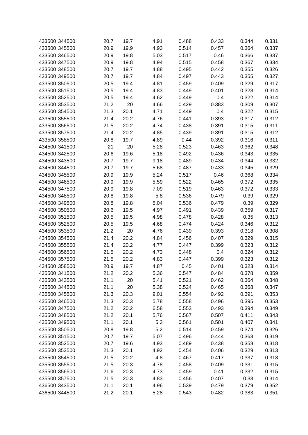| 433500 344500 | 20.7 | 19.7 | 4.91 | 0.488 | 0.433 | 0.344 | 0.331 |
|---------------|------|------|------|-------|-------|-------|-------|
| 433500 345500 | 20.9 | 19.9 | 4.93 | 0.514 | 0.457 | 0.364 | 0.337 |
| 433500 346500 | 20.9 | 19.8 | 5.03 | 0.517 | 0.46  | 0.366 | 0.337 |
| 433500 347500 | 20.9 | 19.8 | 4.94 | 0.515 | 0.458 | 0.367 | 0.334 |
| 433500 348500 | 20.7 | 19.7 | 4.88 | 0.495 | 0.442 | 0.355 | 0.326 |
| 433500 349500 | 20.7 | 19.7 | 4.84 | 0.497 | 0.443 | 0.355 | 0.327 |
| 433500 350500 | 20.5 | 19.4 | 4.81 | 0.459 | 0.409 | 0.329 | 0.317 |
| 433500 351500 |      |      |      |       | 0.401 |       |       |
|               | 20.5 | 19.4 | 4.83 | 0.449 |       | 0.323 | 0.314 |
| 433500 352500 | 20.5 | 19.4 | 4.62 | 0.449 | 0.4   | 0.322 | 0.314 |
| 433500 353500 | 21.2 | 20   | 4.66 | 0.429 | 0.383 | 0.309 | 0.307 |
| 433500 354500 | 21.3 | 20.1 | 4.71 | 0.449 | 0.4   | 0.322 | 0.315 |
| 433500 355500 | 21.4 | 20.2 | 4.76 | 0.441 | 0.393 | 0.317 | 0.312 |
| 433500 356500 | 21.5 | 20.2 | 4.74 | 0.438 | 0.391 | 0.315 | 0.311 |
| 433500 357500 | 21.4 | 20.2 | 4.85 | 0.439 | 0.391 | 0.315 | 0.312 |
| 433500 358500 | 20.8 | 19.7 | 4.89 | 0.44  | 0.392 | 0.316 | 0.311 |
| 434500 341500 | 21   | 20   | 5.28 | 0.523 | 0.463 | 0.362 | 0.348 |
| 434500 342500 | 20.6 | 19.6 | 5.18 | 0.492 | 0.436 | 0.343 | 0.335 |
| 434500 343500 | 20.7 | 19.7 | 9.18 | 0.489 | 0.434 | 0.344 | 0.332 |
| 434500 344500 | 20.7 | 19.7 | 5.68 | 0.487 | 0.433 | 0.345 | 0.329 |
| 434500 345500 | 20.9 | 19.9 | 5.24 | 0.517 | 0.46  | 0.368 | 0.334 |
| 434500 346500 | 20.9 | 19.9 | 5.59 | 0.522 | 0.465 | 0.372 | 0.335 |
| 434500 347500 | 20.9 | 19.8 | 7.09 | 0.519 | 0.463 | 0.372 | 0.333 |
| 434500 348500 | 20.8 | 19.8 | 5.8  | 0.536 | 0.479 | 0.39  | 0.329 |
| 434500 349500 | 20.8 | 19.8 | 5.04 | 0.536 | 0.479 | 0.39  | 0.329 |
| 434500 350500 | 20.6 | 19.5 | 4.97 | 0.491 | 0.439 | 0.359 | 0.317 |
| 434500 351500 | 20.5 | 19.5 | 4.98 | 0.478 | 0.428 | 0.35  | 0.313 |
| 434500 352500 | 20.5 | 19.5 | 4.68 | 0.474 | 0.424 | 0.346 | 0.312 |
| 434500 353500 | 21.2 | 20   | 4.76 | 0.439 | 0.393 | 0.318 | 0.308 |
| 434500 354500 | 21.4 | 20.2 | 4.84 | 0.456 | 0.407 | 0.329 | 0.315 |
| 434500 355500 | 21.4 | 20.2 | 4.77 | 0.447 | 0.399 | 0.323 | 0.312 |
| 434500 356500 | 21.5 | 20.2 | 4.73 | 0.448 | 0.4   | 0.324 | 0.312 |
| 434500 357500 | 21.5 | 20.2 | 4.83 | 0.447 | 0.399 | 0.323 | 0.312 |
| 434500 358500 | 20.9 | 19.7 | 4.87 | 0.45  | 0.401 | 0.323 | 0.314 |
| 435500 341500 | 21.2 | 20.2 | 5.36 | 0.547 | 0.484 | 0.378 | 0.359 |
| 435500 343500 | 21.1 | 20   | 5.41 | 0.521 | 0.462 | 0.364 | 0.348 |
| 435500 344500 | 21.1 | 20   | 5.38 | 0.524 | 0.465 | 0.368 | 0.347 |
| 435500 345500 | 21.3 | 20.3 | 9.01 | 0.554 | 0.492 | 0.391 | 0.353 |
| 435500 346500 | 21.3 | 20.3 | 5.78 | 0.558 | 0.496 | 0.395 | 0.353 |
| 435500 347500 | 21.2 | 20.2 | 6.58 | 0.553 | 0.493 | 0.394 | 0.349 |
| 435500 348500 | 21.2 | 20.1 | 5.76 | 0.567 | 0.507 | 0.411 | 0.343 |
| 435500 349500 | 21.1 | 20.1 | 5.3  | 0.561 | 0.501 | 0.407 | 0.341 |
| 435500 350500 | 20.8 | 19.8 | 5.2  | 0.514 | 0.459 | 0.374 | 0.326 |
| 435500 351500 | 20.7 | 19.7 | 5.07 | 0.496 | 0.444 | 0.363 | 0.319 |
| 435500 352500 | 20.7 | 19.6 | 4.93 | 0.489 | 0.438 | 0.358 | 0.318 |
| 435500 353500 | 21.3 | 20.1 | 4.92 | 0.454 | 0.406 | 0.329 | 0.313 |
| 435500 354500 | 21.5 | 20.2 | 4.8  | 0.467 | 0.417 | 0.337 | 0.318 |
| 435500 355500 | 21.5 | 20.3 | 4.78 | 0.458 | 0.409 | 0.331 | 0.315 |
| 435500 356500 | 21.6 | 20.3 | 4.73 | 0.459 | 0.41  | 0.332 | 0.315 |
| 435500 357500 | 21.5 | 20.3 | 4.83 | 0.456 | 0.407 | 0.33  | 0.314 |
| 436500 343500 | 21.1 | 20.1 | 4.96 | 0.539 | 0.479 | 0.379 | 0.352 |
|               |      |      |      |       |       |       |       |
| 436500 344500 | 21.2 | 20.1 | 5.28 | 0.543 | 0.482 | 0.383 | 0.351 |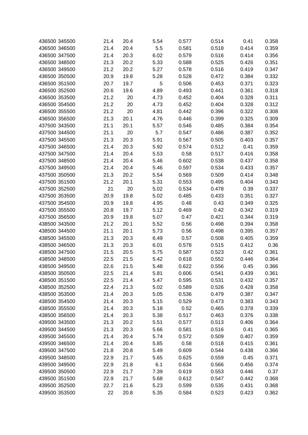| 436500 345500 | 21.4 | 20.4 | 5.54 | 0.577 | 0.514 | 0.41  | 0.358 |
|---------------|------|------|------|-------|-------|-------|-------|
| 436500 346500 | 21.4 | 20.4 | 5.5  | 0.581 | 0.518 | 0.414 | 0.359 |
| 436500 347500 | 21.4 | 20.3 | 6.02 | 0.579 | 0.516 | 0.414 | 0.356 |
| 436500 348500 | 21.3 | 20.2 | 5.33 | 0.588 | 0.525 | 0.426 | 0.351 |
| 436500 349500 | 21.2 | 20.2 | 5.27 | 0.578 | 0.516 | 0.419 | 0.347 |
| 436500 350500 | 20.9 | 19.8 | 5.28 | 0.528 | 0.472 | 0.384 | 0.332 |
| 436500 351500 | 20.7 | 19.7 | 5    | 0.506 | 0.453 | 0.371 | 0.323 |
| 436500 352500 | 20.6 | 19.6 | 4.89 | 0.493 | 0.441 | 0.361 | 0.318 |
| 436500 353500 | 21.2 | 20   | 4.73 | 0.452 | 0.404 | 0.328 | 0.311 |
| 436500 354500 | 21.2 | 20   | 4.73 | 0.452 | 0.404 | 0.328 | 0.312 |
| 436500 355500 | 21.2 | 20   | 4.81 | 0.442 | 0.396 | 0.322 | 0.308 |
| 436500 356500 |      |      |      |       |       |       |       |
|               | 21.3 | 20.1 | 4.76 | 0.446 | 0.399 | 0.325 | 0.309 |
| 437500 343500 | 21.1 | 20.1 | 5.57 | 0.546 | 0.485 | 0.384 | 0.354 |
| 437500 344500 | 21.1 | 20   | 5.7  | 0.547 | 0.486 | 0.387 | 0.352 |
| 437500 345500 | 21.3 | 20.3 | 5.91 | 0.567 | 0.505 | 0.403 | 0.357 |
| 437500 346500 | 21.4 | 20.3 | 5.92 | 0.574 | 0.512 | 0.41  | 0.359 |
| 437500 347500 | 21.4 | 20.4 | 5.53 | 0.58  | 0.517 | 0.416 | 0.358 |
| 437500 348500 | 21.4 | 20.4 | 5.46 | 0.602 | 0.538 | 0.437 | 0.358 |
| 437500 349500 | 21.4 | 20.4 | 5.46 | 0.597 | 0.534 | 0.433 | 0.357 |
| 437500 350500 | 21.3 | 20.2 | 5.54 | 0.569 | 0.509 | 0.414 | 0.348 |
| 437500 351500 | 21.2 | 20.1 | 5.31 | 0.553 | 0.495 | 0.404 | 0.343 |
| 437500 352500 | 21   | 20   | 5.02 | 0.534 | 0.478 | 0.39  | 0.337 |
| 437500 353500 | 20.9 | 19.8 | 5.02 | 0.485 | 0.433 | 0.351 | 0.327 |
| 437500 354500 | 20.9 | 19.8 | 4.95 | 0.48  | 0.43  | 0.349 | 0.325 |
| 437500 355500 | 20.8 | 19.7 | 5.12 | 0.469 | 0.42  | 0.342 | 0.319 |
| 437500 356500 | 20.9 | 19.8 | 5.07 | 0.47  | 0.421 | 0.344 | 0.319 |
| 438500 343500 | 21.2 | 20.1 | 5.52 | 0.56  | 0.498 | 0.394 | 0.358 |
| 438500 344500 | 21.1 | 20.1 | 5.73 | 0.56  | 0.498 | 0.395 | 0.357 |
| 438500 345500 | 21.3 | 20.3 | 6.49 | 0.57  | 0.508 | 0.405 | 0.359 |
| 438500 346500 | 21.3 | 20.3 | 6.01 | 0.578 | 0.515 | 0.412 | 0.36  |
| 438500 347500 | 21.5 | 20.5 | 5.75 | 0.587 | 0.523 | 0.42  | 0.361 |
| 438500 348500 | 22.5 | 21.5 | 5.42 | 0.618 | 0.552 | 0.446 | 0.364 |
| 438500 349500 | 22.6 | 21.5 | 5.48 | 0.622 | 0.556 | 0.45  | 0.366 |
| 438500 350500 | 22.5 | 21.4 | 5.81 | 0.606 | 0.541 | 0.439 | 0.361 |
| 438500 351500 | 22.5 | 21.4 | 5.47 | 0.595 | 0.531 | 0.432 | 0.357 |
| 438500 352500 | 22.4 | 21.3 | 5.02 | 0.589 | 0.526 | 0.428 | 0.358 |
| 438500 353500 | 21.4 | 20.3 | 5.05 | 0.536 | 0.479 | 0.387 | 0.347 |
| 438500 354500 | 21.4 | 20.3 | 5.15 | 0.529 | 0.473 | 0.383 | 0.343 |
| 438500 355500 | 21.4 | 20.3 | 5.18 | 0.52  | 0.465 | 0.378 | 0.339 |
| 438500 356500 | 21.4 | 20.3 | 5.38 | 0.517 | 0.463 | 0.376 | 0.338 |
| 439500 343500 | 21.3 | 20.2 | 5.51 | 0.577 | 0.513 | 0.406 | 0.364 |
| 439500 344500 | 21.3 | 20.3 | 5.66 | 0.581 | 0.516 | 0.41  | 0.365 |
| 439500 345500 | 21.4 | 20.4 | 5.74 | 0.572 | 0.509 | 0.407 | 0.359 |
| 439500 346500 | 21.4 | 20.4 | 5.85 | 0.58  | 0.518 | 0.415 | 0.361 |
| 439500 347500 | 21.8 | 20.8 | 5.49 | 0.609 | 0.544 | 0.438 | 0.366 |
| 439500 348500 | 22.9 | 21.7 | 5.65 | 0.625 | 0.559 | 0.45  | 0.371 |
| 439500 349500 | 22.9 | 21.8 | 6.1  | 0.634 | 0.566 | 0.456 | 0.374 |
| 439500 350500 | 22.9 | 21.7 | 7.39 | 0.619 | 0.553 | 0.446 | 0.37  |
| 439500 351500 | 22.9 | 21.7 | 5.68 | 0.612 | 0.547 | 0.442 | 0.368 |
| 439500 352500 | 22.7 | 21.6 | 5.23 | 0.599 | 0.535 | 0.431 | 0.368 |
| 439500 353500 | 22   |      |      |       |       |       | 0.362 |
|               |      | 20.8 | 5.35 | 0.584 | 0.523 | 0.423 |       |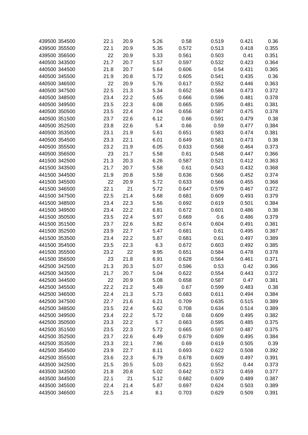| 439500 354500 | 22.1 | 20.9 | 5.26 | 0.58  | 0.519 | 0.421 | 0.36  |
|---------------|------|------|------|-------|-------|-------|-------|
| 439500 355500 | 22.1 | 20.9 | 5.35 | 0.572 | 0.513 | 0.418 | 0.355 |
| 439500 356500 | 22   | 20.9 | 5.33 | 0.561 | 0.503 | 0.41  | 0.351 |
| 440500 343500 | 21.7 | 20.7 | 5.57 | 0.597 | 0.532 | 0.423 | 0.364 |
| 440500 344500 | 21.8 | 20.7 | 5.64 | 0.606 | 0.54  | 0.431 | 0.365 |
| 440500 345500 | 21.9 | 20.8 | 5.72 | 0.605 | 0.541 | 0.435 | 0.36  |
| 440500 346500 | 22   | 20.9 | 5.76 | 0.617 | 0.552 | 0.446 | 0.363 |
| 440500 347500 | 22.5 | 21.3 | 5.34 | 0.652 | 0.584 | 0.473 | 0.372 |
| 440500 348500 | 23.4 | 22.2 | 5.65 | 0.666 | 0.596 | 0.481 | 0.378 |
| 440500 349500 | 23.5 | 22.3 | 6.08 | 0.665 | 0.595 | 0.481 | 0.381 |
| 440500 350500 | 23.5 | 22.4 | 7.04 | 0.656 | 0.587 | 0.475 | 0.378 |
| 440500 351500 | 23.7 | 22.6 | 6.12 | 0.66  | 0.591 | 0.479 | 0.38  |
| 440500 352500 | 23.8 | 22.6 | 5.4  | 0.66  | 0.59  | 0.477 | 0.384 |
| 440500 353500 | 23.1 | 21.9 | 5.61 | 0.651 | 0.583 | 0.474 | 0.381 |
| 440500 354500 | 23.3 | 22.1 | 6.01 | 0.649 | 0.581 | 0.473 | 0.38  |
| 440500 355500 | 23.2 | 21.9 | 6.05 | 0.633 | 0.568 | 0.464 | 0.373 |
| 440500 356500 | 23   | 21.7 | 5.58 | 0.61  | 0.548 | 0.447 | 0.366 |
| 441500 342500 | 21.3 | 20.3 | 6.26 | 0.587 | 0.521 | 0.412 | 0.363 |
| 441500 343500 | 21.7 | 20.7 | 5.58 | 0.61  | 0.543 | 0.432 | 0.368 |
| 441500 344500 | 21.9 | 20.8 | 5.58 | 0.636 | 0.566 | 0.452 | 0.374 |
| 441500 345500 | 22   | 20.9 | 5.72 | 0.633 | 0.566 | 0.455 | 0.368 |
| 441500 346500 | 22.1 | 21   | 5.72 | 0.647 | 0.579 | 0.467 | 0.372 |
| 441500 347500 | 22.5 | 21.4 | 5.68 | 0.681 | 0.609 | 0.493 | 0.379 |
| 441500 348500 | 23.4 | 22.3 | 5.56 | 0.692 | 0.619 | 0.501 | 0.384 |
| 441500 349500 | 23.4 | 22.2 | 6.81 | 0.672 | 0.601 | 0.486 | 0.38  |
| 441500 350500 | 23.5 | 22.4 | 5.97 | 0.669 | 0.6   | 0.486 | 0.379 |
| 441500 351500 | 23.7 | 22.6 | 5.82 | 0.674 | 0.604 | 0.491 | 0.381 |
| 441500 352500 | 23.9 | 22.7 | 5.47 | 0.681 | 0.61  | 0.495 | 0.387 |
| 441500 353500 | 23.4 | 22.2 | 5.87 | 0.681 | 0.61  | 0.497 | 0.389 |
| 441500 354500 | 23.5 | 22.3 | 6.3  | 0.672 | 0.603 | 0.492 | 0.385 |
| 441500 355500 | 23.2 | 22   | 9.95 | 0.651 | 0.584 | 0.478 | 0.378 |
| 441500 356500 | 23   | 21.8 | 6.91 | 0.628 | 0.564 | 0.461 | 0.371 |
| 442500 342500 | 21.3 | 20.3 | 5.07 | 0.596 | 0.53  | 0.42  | 0.366 |
| 442500 343500 | 21.7 | 20.7 | 5.04 | 0.622 | 0.554 | 0.443 | 0.372 |
| 442500 344500 | 22   | 20.9 | 5.08 | 0.658 | 0.587 | 0.47  | 0.381 |
| 442500 345500 | 22.2 | 21.2 | 5.49 | 0.67  | 0.599 | 0.483 | 0.38  |
| 442500 346500 | 22.4 | 21.3 | 5.73 | 0.683 | 0.611 | 0.494 | 0.384 |
| 442500 347500 | 22.7 | 21.6 | 6.21 | 0.709 | 0.635 | 0.515 | 0.389 |
| 442500 348500 | 23.5 | 22.4 | 5.62 | 0.708 | 0.634 | 0.514 | 0.389 |
| 442500 349500 | 23.4 | 22.2 | 5.72 | 0.68  | 0.609 | 0.495 | 0.382 |
| 442500 350500 | 23.3 | 22.2 | 5.7  | 0.663 | 0.595 | 0.485 | 0.375 |
| 442500 351500 | 23.5 | 22.3 | 5.72 | 0.665 | 0.597 | 0.487 | 0.375 |
| 442500 352500 | 23.7 | 22.6 | 6.49 | 0.679 | 0.609 | 0.495 | 0.384 |
| 442500 353500 | 23.3 | 22.1 | 7.96 | 0.69  | 0.619 | 0.505 | 0.39  |
| 442500 354500 | 23.9 | 22.7 | 8.11 | 0.693 | 0.622 | 0.508 | 0.392 |
| 442500 355500 | 23.6 | 22.3 | 6.79 | 0.678 | 0.609 | 0.497 | 0.391 |
| 443500 342500 | 21.5 | 20.5 | 5.03 | 0.621 | 0.552 | 0.44  | 0.373 |
| 443500 343500 | 21.8 | 20.8 | 5.02 | 0.642 | 0.573 | 0.459 | 0.377 |
| 443500 344500 | 22.1 | 21   | 5.12 | 0.682 | 0.609 | 0.489 | 0.387 |
| 443500 345500 | 22.4 | 21.4 | 5.87 | 0.697 | 0.624 | 0.503 | 0.389 |
| 443500 346500 | 22.5 | 21.4 | 8.1  | 0.703 | 0.629 | 0.509 | 0.391 |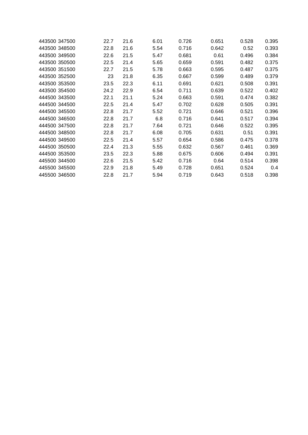| 22.7                                                                                                                                                                                                                                                                                                                                             | 21.6 | 6.01 | 0.726 | 0.651 | 0.528 | 0.395 |
|--------------------------------------------------------------------------------------------------------------------------------------------------------------------------------------------------------------------------------------------------------------------------------------------------------------------------------------------------|------|------|-------|-------|-------|-------|
| 22.8                                                                                                                                                                                                                                                                                                                                             | 21.6 | 5.54 | 0.716 | 0.642 | 0.52  | 0.393 |
| 22.6                                                                                                                                                                                                                                                                                                                                             | 21.5 | 5.47 | 0.681 | 0.61  | 0.496 | 0.384 |
| 22.5                                                                                                                                                                                                                                                                                                                                             | 21.4 | 5.65 | 0.659 | 0.591 | 0.482 | 0.375 |
| 22.7                                                                                                                                                                                                                                                                                                                                             | 21.5 | 5.78 | 0.663 | 0.595 | 0.487 | 0.375 |
| 23                                                                                                                                                                                                                                                                                                                                               | 21.8 | 6.35 | 0.667 | 0.599 | 0.489 | 0.379 |
| 23.5                                                                                                                                                                                                                                                                                                                                             | 22.3 | 6.11 | 0.691 | 0.621 | 0.508 | 0.391 |
| 24.2                                                                                                                                                                                                                                                                                                                                             | 22.9 | 6.54 | 0.711 | 0.639 | 0.522 | 0.402 |
| 22.1                                                                                                                                                                                                                                                                                                                                             | 21.1 | 5.24 | 0.663 | 0.591 | 0.474 | 0.382 |
| 22.5                                                                                                                                                                                                                                                                                                                                             | 21.4 | 5.47 | 0.702 | 0.628 | 0.505 | 0.391 |
| 22.8                                                                                                                                                                                                                                                                                                                                             | 21.7 | 5.52 | 0.721 | 0.646 | 0.521 | 0.396 |
| 22.8                                                                                                                                                                                                                                                                                                                                             | 21.7 | 6.8  | 0.716 | 0.641 | 0.517 | 0.394 |
| 22.8                                                                                                                                                                                                                                                                                                                                             | 21.7 | 7.64 | 0.721 | 0.646 | 0.522 | 0.395 |
| 22.8                                                                                                                                                                                                                                                                                                                                             | 21.7 | 6.08 | 0.705 | 0.631 | 0.51  | 0.391 |
| 22.5                                                                                                                                                                                                                                                                                                                                             | 21.4 | 5.57 | 0.654 | 0.586 | 0.475 | 0.378 |
| 22.4                                                                                                                                                                                                                                                                                                                                             | 21.3 | 5.55 | 0.632 | 0.567 | 0.461 | 0.369 |
| 23.5                                                                                                                                                                                                                                                                                                                                             | 22.3 | 5.88 | 0.675 | 0.606 | 0.494 | 0.391 |
| 22.6                                                                                                                                                                                                                                                                                                                                             | 21.5 | 5.42 | 0.716 | 0.64  | 0.514 | 0.398 |
| 22.9                                                                                                                                                                                                                                                                                                                                             | 21.8 | 5.49 | 0.728 | 0.651 | 0.524 | 0.4   |
| 22.8                                                                                                                                                                                                                                                                                                                                             | 21.7 | 5.94 | 0.719 | 0.643 | 0.518 | 0.398 |
| 443500 347500<br>443500 348500<br>443500 349500<br>443500 350500<br>443500 351500<br>443500 352500<br>443500 353500<br>443500 354500<br>444500 343500<br>444500 344500<br>444500 345500<br>444500 346500<br>444500 347500<br>444500 348500<br>444500 349500<br>444500 350500<br>444500 353500<br>445500 344500<br>445500 345500<br>445500 346500 |      |      |       |       |       |       |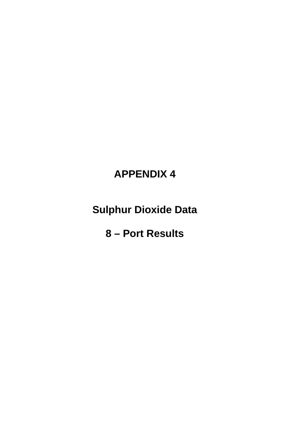# **APPENDIX 4**

**Sulphur Dioxide Data**

**8 – Port Results**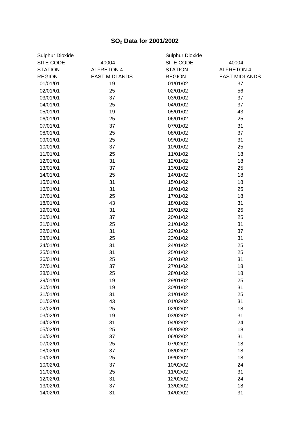# **SO<sup>2</sup> Data for 2001/2002**

| <b>Sulphur Dioxide</b> |                      | Sulphur Dioxide |                      |  |  |  |  |
|------------------------|----------------------|-----------------|----------------------|--|--|--|--|
| SITE CODE              | 40004                | SITE CODE       | 40004                |  |  |  |  |
| <b>STATION</b>         | <b>ALFRETON 4</b>    | <b>STATION</b>  | <b>ALFRETON 4</b>    |  |  |  |  |
| <b>REGION</b>          | <b>EAST MIDLANDS</b> | <b>REGION</b>   | <b>EAST MIDLANDS</b> |  |  |  |  |
| 01/01/01               | 19                   | 01/01/02        | 37                   |  |  |  |  |
| 02/01/01               | 25                   | 02/01/02        | 56                   |  |  |  |  |
| 03/01/01               | 37                   | 03/01/02        | 37                   |  |  |  |  |
| 04/01/01               | 25                   | 04/01/02        | 37                   |  |  |  |  |
| 05/01/01               | 19                   | 05/01/02        | 43                   |  |  |  |  |
| 06/01/01               | 25                   | 06/01/02        | 25                   |  |  |  |  |
| 07/01/01               | 37                   | 07/01/02        | 31                   |  |  |  |  |
| 08/01/01               | 25                   | 08/01/02        | 37                   |  |  |  |  |
| 09/01/01               | 25                   | 09/01/02        | 31                   |  |  |  |  |
| 10/01/01               | 37                   | 10/01/02        | 25                   |  |  |  |  |
| 11/01/01               | 25                   | 11/01/02        | 18                   |  |  |  |  |
| 12/01/01               | 31                   | 12/01/02        | 18                   |  |  |  |  |
| 13/01/01               | 37                   | 13/01/02        | 25                   |  |  |  |  |
| 14/01/01               | 25                   | 14/01/02        | 18                   |  |  |  |  |
| 15/01/01               | 31                   | 15/01/02        | 18                   |  |  |  |  |
| 16/01/01               | 31                   | 16/01/02        | 25                   |  |  |  |  |
| 17/01/01               | 25                   | 17/01/02        | 18                   |  |  |  |  |
| 18/01/01               | 43                   | 18/01/02        | 31                   |  |  |  |  |
| 19/01/01               | 31                   | 19/01/02        | 25                   |  |  |  |  |
| 20/01/01               | 37                   | 20/01/02        | 25                   |  |  |  |  |
| 21/01/01               | 25                   | 21/01/02        | 31                   |  |  |  |  |
| 22/01/01               | 31                   | 22/01/02        | 37                   |  |  |  |  |
| 23/01/01               | 25                   | 23/01/02        | 31                   |  |  |  |  |
| 24/01/01               | 31                   | 24/01/02        | 25                   |  |  |  |  |
| 25/01/01               | 31                   | 25/01/02        | 25                   |  |  |  |  |
| 26/01/01               | 25                   | 26/01/02        | 31                   |  |  |  |  |
| 27/01/01               | 37                   | 27/01/02        | 18                   |  |  |  |  |
| 28/01/01               | 25                   | 28/01/02        | 18                   |  |  |  |  |
| 29/01/01               | 19                   | 29/01/02        | 25                   |  |  |  |  |
| 30/01/01               | 19                   | 30/01/02        | 31                   |  |  |  |  |
| 31/01/01               | 31                   | 31/01/02        | 25                   |  |  |  |  |
| 01/02/01               | 43                   | 01/02/02        | 31                   |  |  |  |  |
| 02/02/01               | 25                   | 02/02/02        | 18                   |  |  |  |  |
| 03/02/01               | 19                   | 03/02/02        | 31                   |  |  |  |  |
| 04/02/01               | 31                   | 04/02/02        | 24                   |  |  |  |  |
| 05/02/01               | 25                   | 05/02/02        | 18                   |  |  |  |  |
| 06/02/01               | 37                   | 06/02/02        | 31                   |  |  |  |  |
| 07/02/01               | 25                   | 07/02/02        | 18                   |  |  |  |  |
| 08/02/01               | 37                   | 08/02/02        | 18                   |  |  |  |  |
| 09/02/01               | 25                   | 09/02/02        | 18                   |  |  |  |  |
| 10/02/01               | 37                   | 10/02/02        | 24                   |  |  |  |  |
| 11/02/01               | 25                   | 11/02/02        | 31                   |  |  |  |  |
| 12/02/01               | 31                   | 12/02/02        | 24                   |  |  |  |  |
| 13/02/01               | 37                   | 13/02/02        | 18                   |  |  |  |  |
| 14/02/01               | 31                   | 14/02/02        | 31                   |  |  |  |  |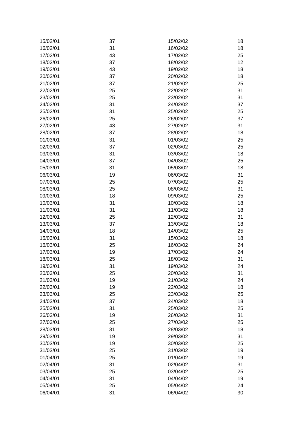| 15/02/01 | 37 | 15/02/02 | 18 |
|----------|----|----------|----|
| 16/02/01 | 31 | 16/02/02 | 18 |
| 17/02/01 | 43 | 17/02/02 | 25 |
| 18/02/01 | 37 | 18/02/02 | 12 |
| 19/02/01 | 43 | 19/02/02 | 18 |
| 20/02/01 | 37 | 20/02/02 | 18 |
| 21/02/01 | 37 | 21/02/02 | 25 |
| 22/02/01 | 25 | 22/02/02 | 31 |
| 23/02/01 | 25 | 23/02/02 | 31 |
| 24/02/01 | 31 | 24/02/02 | 37 |
| 25/02/01 | 31 | 25/02/02 | 25 |
| 26/02/01 | 25 | 26/02/02 | 37 |
| 27/02/01 | 43 | 27/02/02 | 31 |
| 28/02/01 | 37 |          | 18 |
|          |    | 28/02/02 |    |
| 01/03/01 | 31 | 01/03/02 | 25 |
| 02/03/01 | 37 | 02/03/02 | 25 |
| 03/03/01 | 31 | 03/03/02 | 18 |
| 04/03/01 | 37 | 04/03/02 | 25 |
| 05/03/01 | 31 | 05/03/02 | 18 |
| 06/03/01 | 19 | 06/03/02 | 31 |
| 07/03/01 | 25 | 07/03/02 | 25 |
| 08/03/01 | 25 | 08/03/02 | 31 |
| 09/03/01 | 18 | 09/03/02 | 25 |
| 10/03/01 | 31 | 10/03/02 | 18 |
| 11/03/01 | 31 | 11/03/02 | 18 |
| 12/03/01 | 25 | 12/03/02 | 31 |
| 13/03/01 | 37 | 13/03/02 | 18 |
| 14/03/01 | 18 | 14/03/02 | 25 |
| 15/03/01 | 31 | 15/03/02 | 18 |
| 16/03/01 | 25 | 16/03/02 | 24 |
| 17/03/01 | 19 | 17/03/02 | 24 |
| 18/03/01 | 25 | 18/03/02 | 31 |
| 19/03/01 | 31 | 19/03/02 | 24 |
| 20/03/01 | 25 | 20/03/02 | 31 |
| 21/03/01 | 19 | 21/03/02 | 24 |
| 22/03/01 | 19 | 22/03/02 | 18 |
| 23/03/01 | 25 | 23/03/02 | 25 |
| 24/03/01 | 37 | 24/03/02 | 18 |
| 25/03/01 | 31 | 25/03/02 | 25 |
| 26/03/01 | 19 | 26/03/02 | 31 |
| 27/03/01 | 25 | 27/03/02 | 25 |
| 28/03/01 | 31 | 28/03/02 | 18 |
| 29/03/01 | 19 | 29/03/02 | 31 |
| 30/03/01 | 19 | 30/03/02 | 25 |
| 31/03/01 | 25 | 31/03/02 | 19 |
| 01/04/01 | 25 | 01/04/02 | 19 |
| 02/04/01 | 31 | 02/04/02 | 31 |
| 03/04/01 | 25 | 03/04/02 | 25 |
| 04/04/01 | 31 | 04/04/02 | 19 |
| 05/04/01 | 25 | 05/04/02 | 24 |
| 06/04/01 | 31 | 06/04/02 | 30 |
|          |    |          |    |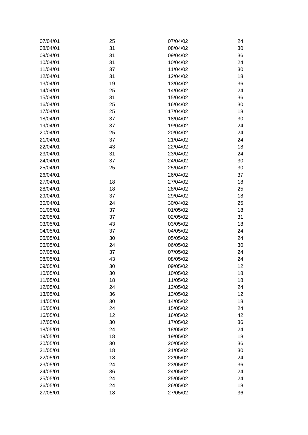| 07/04/01 | 25 | 07/04/02 | 24 |
|----------|----|----------|----|
| 08/04/01 | 31 | 08/04/02 | 30 |
| 09/04/01 | 31 | 09/04/02 | 36 |
| 10/04/01 | 31 | 10/04/02 | 24 |
| 11/04/01 | 37 | 11/04/02 | 30 |
| 12/04/01 | 31 | 12/04/02 | 18 |
| 13/04/01 | 19 | 13/04/02 | 36 |
| 14/04/01 | 25 | 14/04/02 | 24 |
| 15/04/01 | 31 | 15/04/02 | 36 |
| 16/04/01 | 25 | 16/04/02 | 30 |
| 17/04/01 | 25 | 17/04/02 | 18 |
| 18/04/01 | 37 | 18/04/02 | 30 |
| 19/04/01 | 37 | 19/04/02 | 24 |
| 20/04/01 | 25 | 20/04/02 | 24 |
| 21/04/01 | 37 | 21/04/02 | 24 |
| 22/04/01 | 43 | 22/04/02 | 18 |
| 23/04/01 | 31 | 23/04/02 | 24 |
| 24/04/01 | 37 | 24/04/02 | 30 |
| 25/04/01 | 25 | 25/04/02 | 30 |
| 26/04/01 |    | 26/04/02 | 37 |
| 27/04/01 | 18 | 27/04/02 | 18 |
| 28/04/01 | 18 | 28/04/02 | 25 |
| 29/04/01 | 37 | 29/04/02 | 18 |
| 30/04/01 | 24 | 30/04/02 | 25 |
| 01/05/01 | 37 | 01/05/02 | 18 |
| 02/05/01 | 37 | 02/05/02 | 31 |
| 03/05/01 | 43 | 03/05/02 | 18 |
| 04/05/01 | 37 | 04/05/02 | 24 |
| 05/05/01 | 30 | 05/05/02 | 24 |
| 06/05/01 | 24 | 06/05/02 | 30 |
| 07/05/01 | 37 | 07/05/02 | 24 |
| 08/05/01 | 43 | 08/05/02 | 24 |
| 09/05/01 | 30 | 09/05/02 | 12 |
| 10/05/01 | 30 | 10/05/02 | 18 |
| 11/05/01 | 18 | 11/05/02 | 18 |
| 12/05/01 | 24 | 12/05/02 | 24 |
| 13/05/01 | 36 | 13/05/02 | 12 |
| 14/05/01 | 30 | 14/05/02 | 18 |
| 15/05/01 | 24 | 15/05/02 | 24 |
| 16/05/01 | 12 | 16/05/02 | 42 |
| 17/05/01 | 30 | 17/05/02 | 36 |
| 18/05/01 | 24 | 18/05/02 | 24 |
| 19/05/01 | 18 | 19/05/02 | 18 |
| 20/05/01 | 30 | 20/05/02 | 36 |
| 21/05/01 | 18 | 21/05/02 | 30 |
| 22/05/01 | 18 | 22/05/02 | 24 |
| 23/05/01 | 24 | 23/05/02 | 36 |
| 24/05/01 | 36 | 24/05/02 | 24 |
| 25/05/01 | 24 | 25/05/02 | 24 |
| 26/05/01 | 24 | 26/05/02 | 18 |
| 27/05/01 | 18 | 27/05/02 | 36 |
|          |    |          |    |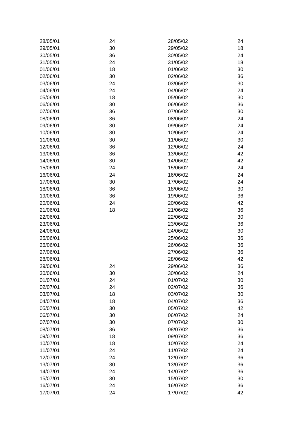| 28/05/01 | 24 | 28/05/02 | 24 |
|----------|----|----------|----|
| 29/05/01 | 30 | 29/05/02 | 18 |
| 30/05/01 | 36 | 30/05/02 | 24 |
| 31/05/01 | 24 | 31/05/02 | 18 |
| 01/06/01 | 18 | 01/06/02 | 30 |
| 02/06/01 | 30 | 02/06/02 | 36 |
| 03/06/01 | 24 | 03/06/02 | 30 |
| 04/06/01 | 24 | 04/06/02 | 24 |
| 05/06/01 | 18 | 05/06/02 | 30 |
| 06/06/01 | 30 | 06/06/02 | 36 |
| 07/06/01 | 36 | 07/06/02 | 30 |
| 08/06/01 | 36 | 08/06/02 | 24 |
| 09/06/01 | 30 | 09/06/02 | 24 |
| 10/06/01 | 30 | 10/06/02 | 24 |
| 11/06/01 | 30 | 11/06/02 | 30 |
| 12/06/01 | 36 | 12/06/02 | 24 |
| 13/06/01 | 36 | 13/06/02 | 42 |
| 14/06/01 | 30 | 14/06/02 | 42 |
| 15/06/01 | 24 | 15/06/02 | 24 |
| 16/06/01 | 24 | 16/06/02 | 24 |
| 17/06/01 | 30 | 17/06/02 | 24 |
| 18/06/01 | 36 | 18/06/02 | 30 |
| 19/06/01 | 36 | 19/06/02 | 36 |
| 20/06/01 | 24 | 20/06/02 | 42 |
| 21/06/01 | 18 | 21/06/02 | 36 |
| 22/06/01 |    | 22/06/02 | 30 |
| 23/06/01 |    | 23/06/02 | 36 |
| 24/06/01 |    | 24/06/02 | 30 |
| 25/06/01 |    | 25/06/02 | 36 |
| 26/06/01 |    | 26/06/02 | 36 |
| 27/06/01 |    | 27/06/02 | 36 |
| 28/06/01 |    | 28/06/02 | 42 |
| 29/06/01 | 24 | 29/06/02 | 36 |
| 30/06/01 | 30 | 30/06/02 | 24 |
| 01/07/01 | 24 | 01/07/02 | 30 |
| 02/07/01 | 24 | 02/07/02 | 36 |
| 03/07/01 | 18 | 03/07/02 | 30 |
| 04/07/01 | 18 | 04/07/02 | 36 |
| 05/07/01 | 30 | 05/07/02 | 42 |
| 06/07/01 | 30 | 06/07/02 | 24 |
| 07/07/01 | 30 | 07/07/02 | 30 |
| 08/07/01 | 36 | 08/07/02 | 36 |
| 09/07/01 | 18 | 09/07/02 | 36 |
| 10/07/01 | 18 | 10/07/02 | 24 |
| 11/07/01 | 24 | 11/07/02 | 24 |
| 12/07/01 | 24 | 12/07/02 | 36 |
| 13/07/01 | 30 | 13/07/02 | 36 |
| 14/07/01 | 24 | 14/07/02 | 36 |
| 15/07/01 | 30 | 15/07/02 | 30 |
| 16/07/01 | 24 | 16/07/02 | 36 |
| 17/07/01 | 24 | 17/07/02 | 42 |
|          |    |          |    |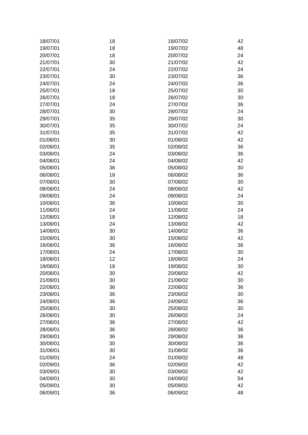| 18/07/01 | 18 | 18/07/02 | 42 |
|----------|----|----------|----|
| 19/07/01 | 18 | 19/07/02 | 48 |
| 20/07/01 | 18 | 20/07/02 | 24 |
| 21/07/01 | 30 | 21/07/02 | 42 |
| 22/07/01 | 24 | 22/07/02 | 24 |
| 23/07/01 | 30 | 23/07/02 | 36 |
| 24/07/01 | 24 | 24/07/02 | 36 |
| 25/07/01 | 18 | 25/07/02 | 30 |
| 26/07/01 | 18 | 26/07/02 | 30 |
| 27/07/01 | 24 | 27/07/02 | 36 |
| 28/07/01 | 30 | 28/07/02 | 24 |
| 29/07/01 | 35 | 29/07/02 | 30 |
| 30/07/01 | 35 | 30/07/02 | 24 |
| 31/07/01 | 35 | 31/07/02 | 42 |
| 01/08/01 | 30 | 01/08/02 | 42 |
| 02/08/01 | 35 | 02/08/02 | 36 |
| 03/08/01 | 24 | 03/08/02 | 36 |
|          |    |          |    |
| 04/08/01 | 24 | 04/08/02 | 42 |
| 05/08/01 | 36 | 05/08/02 | 30 |
| 06/08/01 | 18 | 06/08/02 | 36 |
| 07/08/01 | 30 | 07/08/02 | 30 |
| 08/08/01 | 24 | 08/08/02 | 42 |
| 09/08/01 | 24 | 09/08/02 | 24 |
| 10/08/01 | 36 | 10/08/02 | 30 |
| 11/08/01 | 24 | 11/08/02 | 24 |
| 12/08/01 | 18 | 12/08/02 | 18 |
| 13/08/01 | 24 | 13/08/02 | 42 |
| 14/08/01 | 30 | 14/08/02 | 36 |
| 15/08/01 | 30 | 15/08/02 | 42 |
| 16/08/01 | 36 | 16/08/02 | 36 |
| 17/08/01 | 24 | 17/08/02 | 30 |
| 18/08/01 | 12 | 18/08/02 | 24 |
| 19/08/01 | 18 | 19/08/02 | 30 |
| 20/08/01 | 30 | 20/08/02 | 42 |
| 21/08/01 | 30 | 21/08/02 | 30 |
| 22/08/01 | 36 | 22/08/02 | 36 |
| 23/08/01 | 36 | 23/08/02 | 30 |
| 24/08/01 | 36 | 24/08/02 | 36 |
| 25/08/01 | 30 | 25/08/02 | 30 |
| 26/08/01 | 30 | 26/08/02 | 24 |
| 27/08/01 | 36 | 27/08/02 | 42 |
| 28/08/01 | 36 | 28/08/02 | 36 |
| 29/08/01 | 36 | 29/08/02 | 36 |
| 30/08/01 | 30 | 30/08/02 | 36 |
| 31/08/01 | 30 | 31/08/02 | 36 |
| 01/09/01 | 24 | 01/09/02 | 48 |
| 02/09/01 | 36 | 02/09/02 | 42 |
| 03/09/01 | 30 | 03/09/02 | 42 |
| 04/09/01 | 30 | 04/09/02 | 54 |
| 05/09/01 | 30 | 05/09/02 | 42 |
| 06/09/01 | 36 | 06/09/02 | 48 |
|          |    |          |    |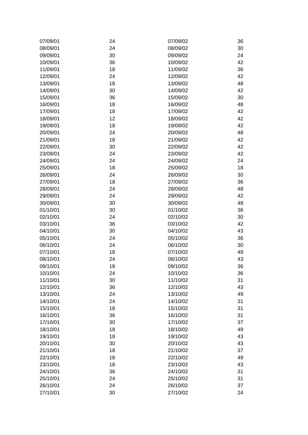| 07/09/01 | 24 | 07/09/02 | 36 |
|----------|----|----------|----|
| 08/09/01 | 24 | 08/09/02 | 30 |
| 09/09/01 | 30 | 09/09/02 | 24 |
| 10/09/01 | 36 | 10/09/02 | 42 |
| 11/09/01 | 18 | 11/09/02 | 36 |
| 12/09/01 | 24 | 12/09/02 | 42 |
| 13/09/01 | 18 | 13/09/02 | 48 |
| 14/09/01 | 30 | 14/09/02 | 42 |
| 15/09/01 | 36 | 15/09/02 | 30 |
| 16/09/01 | 18 | 16/09/02 | 48 |
| 17/09/01 | 18 | 17/09/02 | 42 |
| 18/09/01 | 12 | 18/09/02 | 42 |
| 19/09/01 | 18 | 19/09/02 | 42 |
| 20/09/01 | 24 | 20/09/02 | 48 |
| 21/09/01 | 18 | 21/09/02 | 42 |
| 22/09/01 | 30 | 22/09/02 | 42 |
| 23/09/01 | 24 | 23/09/02 | 42 |
| 24/09/01 | 24 | 24/09/02 | 24 |
| 25/09/01 | 18 | 25/09/02 | 18 |
| 26/09/01 | 24 | 26/09/02 | 30 |
| 27/09/01 | 18 | 27/09/02 | 36 |
| 28/09/01 | 24 | 28/09/02 | 48 |
| 29/09/01 | 24 | 29/09/02 | 42 |
| 30/09/01 | 30 | 30/09/02 | 48 |
| 01/10/01 | 30 | 01/10/02 | 36 |
|          |    |          |    |
| 02/10/01 | 24 | 02/10/02 | 30 |
| 03/10/01 | 36 | 03/10/02 | 42 |
| 04/10/01 | 30 | 04/10/02 | 43 |
| 05/10/01 | 24 | 05/10/02 | 36 |
| 06/10/01 | 24 | 06/10/02 | 30 |
| 07/10/01 | 18 | 07/10/02 | 49 |
| 08/10/01 | 24 | 08/10/02 | 43 |
| 09/10/01 | 18 | 09/10/02 | 36 |
| 10/10/01 | 24 | 10/10/02 | 36 |
| 11/10/01 | 30 | 11/10/02 | 31 |
| 12/10/01 | 36 | 12/10/02 | 43 |
| 13/10/01 | 24 | 13/10/02 | 49 |
| 14/10/01 | 24 | 14/10/02 | 31 |
| 15/10/01 | 18 | 15/10/02 | 31 |
| 16/10/01 | 36 | 16/10/02 | 31 |
| 17/10/01 | 30 | 17/10/02 | 37 |
| 18/10/01 | 18 | 18/10/02 | 49 |
| 19/10/01 | 18 | 19/10/02 | 43 |
| 20/10/01 | 30 | 20/10/02 | 43 |
| 21/10/01 | 18 | 21/10/02 | 37 |
| 22/10/01 | 18 | 22/10/02 | 49 |
| 23/10/01 | 18 | 23/10/02 | 43 |
| 24/10/01 | 36 | 24/10/02 | 31 |
| 25/10/01 | 24 | 25/10/02 | 31 |
| 26/10/01 | 24 | 26/10/02 | 37 |
| 27/10/01 | 30 | 27/10/02 | 24 |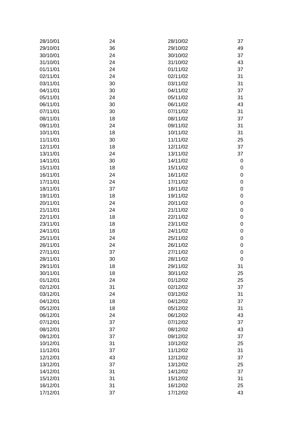| 28/10/01 | 24 | 28/10/02 | 37          |
|----------|----|----------|-------------|
| 29/10/01 | 36 | 29/10/02 | 49          |
| 30/10/01 | 24 | 30/10/02 | 37          |
| 31/10/01 | 24 | 31/10/02 | 43          |
| 01/11/01 | 24 | 01/11/02 | 37          |
| 02/11/01 | 24 | 02/11/02 | 31          |
| 03/11/01 | 30 | 03/11/02 | 31          |
| 04/11/01 | 30 | 04/11/02 | 37          |
| 05/11/01 | 24 | 05/11/02 | 31          |
| 06/11/01 | 30 | 06/11/02 | 43          |
| 07/11/01 | 30 | 07/11/02 | 31          |
| 08/11/01 | 18 | 08/11/02 | 37          |
| 09/11/01 | 24 | 09/11/02 | 31          |
| 10/11/01 | 18 | 10/11/02 | 31          |
| 11/11/01 | 30 | 11/11/02 | 25          |
| 12/11/01 | 18 | 12/11/02 | 37          |
| 13/11/01 | 24 | 13/11/02 | 37          |
| 14/11/01 | 30 | 14/11/02 | $\mathbf 0$ |
| 15/11/01 | 18 | 15/11/02 | $\mathbf 0$ |
| 16/11/01 | 24 | 16/11/02 | 0           |
| 17/11/01 | 24 | 17/11/02 | $\mathbf 0$ |
| 18/11/01 | 37 | 18/11/02 | 0           |
| 19/11/01 | 18 | 19/11/02 | 0           |
| 20/11/01 | 24 | 20/11/02 | 0           |
| 21/11/01 | 24 | 21/11/02 | $\mathbf 0$ |
|          |    |          |             |
| 22/11/01 | 18 | 22/11/02 | 0           |
| 23/11/01 | 18 | 23/11/02 | 0           |
| 24/11/01 | 18 | 24/11/02 | 0           |
| 25/11/01 | 24 | 25/11/02 | 0           |
| 26/11/01 | 24 | 26/11/02 | 0           |
| 27/11/01 | 37 | 27/11/02 | 0           |
| 28/11/01 | 30 | 28/11/02 | 0           |
| 29/11/01 | 18 | 29/11/02 | 31          |
| 30/11/01 | 18 | 30/11/02 | 25          |
| 01/12/01 | 24 | 01/12/02 | 25          |
| 02/12/01 | 31 | 02/12/02 | 37          |
| 03/12/01 | 24 | 03/12/02 | 31          |
| 04/12/01 | 18 | 04/12/02 | 37          |
| 05/12/01 | 18 | 05/12/02 | 31          |
| 06/12/01 | 24 | 06/12/02 | 43          |
| 07/12/01 | 37 | 07/12/02 | 37          |
| 08/12/01 | 37 | 08/12/02 | 43          |
| 09/12/01 | 37 | 09/12/02 | 37          |
| 10/12/01 | 31 | 10/12/02 | 25          |
| 11/12/01 | 37 | 11/12/02 | 31          |
| 12/12/01 | 43 | 12/12/02 | 37          |
| 13/12/01 | 37 | 13/12/02 | 25          |
| 14/12/01 | 31 | 14/12/02 | 37          |
| 15/12/01 | 31 | 15/12/02 | 31          |
| 16/12/01 | 31 | 16/12/02 | 25          |
| 17/12/01 | 37 | 17/12/02 | 43          |